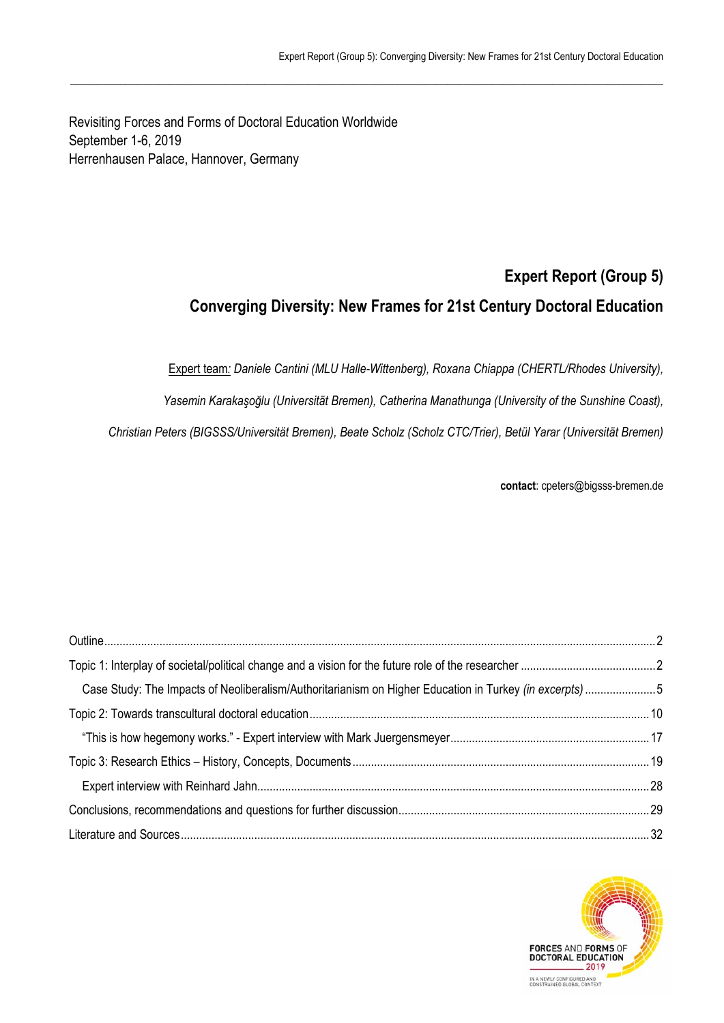Revisiting Forces and Forms of Doctoral Education Worldwide September 1-6, 2019 Herrenhausen Palace, Hannover, Germany

# **Expert Report (Group 5) Converging Diversity: New Frames for 21st Century Doctoral Education**

Expert team*: Daniele Cantini (MLU Halle-Wittenberg), Roxana Chiappa (CHERTL/Rhodes University),* 

*Yasemin Karakaşoğlu (Universität Bremen), Catherina Manathunga (University of the Sunshine Coast),* 

*Christian Peters (BIGSSS/Universität Bremen), Beate Scholz (Scholz CTC/Trier), Betül Yarar (Universität Bremen)* 

 $\_$  , and the state of the state of the state of the state of the state of the state of the state of the state of the state of the state of the state of the state of the state of the state of the state of the state of the

**contact**: cpeters@bigsss-bremen.de

| Case Study: The Impacts of Neoliberalism/Authoritarianism on Higher Education in Turkey (in excerpts) 5 |  |
|---------------------------------------------------------------------------------------------------------|--|
|                                                                                                         |  |
|                                                                                                         |  |
|                                                                                                         |  |
|                                                                                                         |  |
|                                                                                                         |  |
|                                                                                                         |  |

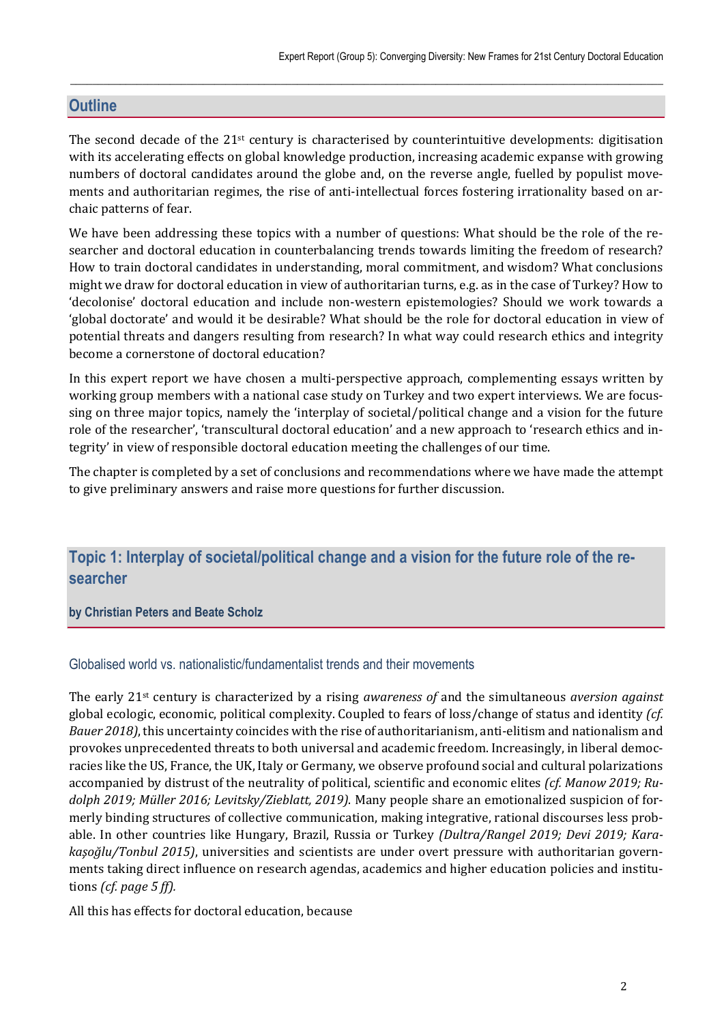# **Outline**

The second decade of the  $21<sup>st</sup>$  century is characterised by counterintuitive developments: digitisation with its accelerating effects on global knowledge production, increasing academic expanse with growing numbers of doctoral candidates around the globe and, on the reverse angle, fuelled by populist movements and authoritarian regimes, the rise of anti-intellectual forces fostering irrationality based on archaic patterns of fear.

 $\_$  , and the state of the state of the state of the state of the state of the state of the state of the state of the state of the state of the state of the state of the state of the state of the state of the state of the

We have been addressing these topics with a number of questions: What should be the role of the researcher and doctoral education in counterbalancing trends towards limiting the freedom of research? How to train doctoral candidates in understanding, moral commitment, and wisdom? What conclusions might we draw for doctoral education in view of authoritarian turns, e.g. as in the case of Turkey? How to 'decolonise' doctoral education and include non-western epistemologies? Should we work towards a 'global doctorate' and would it be desirable? What should be the role for doctoral education in view of potential threats and dangers resulting from research? In what way could research ethics and integrity become a cornerstone of doctoral education?

In this expert report we have chosen a multi-perspective approach, complementing essays written by working group members with a national case study on Turkey and two expert interviews. We are focussing on three major topics, namely the 'interplay of societal/political change and a vision for the future role of the researcher', 'transcultural doctoral education' and a new approach to 'research ethics and integrity' in view of responsible doctoral education meeting the challenges of our time.

The chapter is completed by a set of conclusions and recommendations where we have made the attempt to give preliminary answers and raise more questions for further discussion.

# **Topic 1: Interplay of societal/political change and a vision for the future role of the researcher**

### **by Christian Peters and Beate Scholz**

# Globalised world vs. nationalistic/fundamentalist trends and their movements

The early 21st century is characterized by a rising *awareness of* and the simultaneous *aversion against* global ecologic, economic, political complexity. Coupled to fears of loss/change of status and identity *(cf. Bauer 2018)*, this uncertainty coincides with the rise of authoritarianism, anti-elitism and nationalism and provokes unprecedented threats to both universal and academic freedom. Increasingly, in liberal democracies like the US, France, the UK, Italy or Germany, we observe profound social and cultural polarizations accompanied by distrust of the neutrality of political, scientific and economic elites *(cf. Manow 2019; Ru‐ dolph 2019; Müller 2016; Levitsky/Zieblatt, 2019)*. Many people share an emotionalized suspicion of formerly binding structures of collective communication, making integrative, rational discourses less probable. In other countries like Hungary, Brazil, Russia or Turkey *(Dultra/Rangel 2019; Devi 2019; Kara‐ kaşoğlu/Tonbul 2015)*, universities and scientists are under overt pressure with authoritarian governments taking direct influence on research agendas, academics and higher education policies and institutions *(cf. page 5 ff).*

All this has effects for doctoral education, because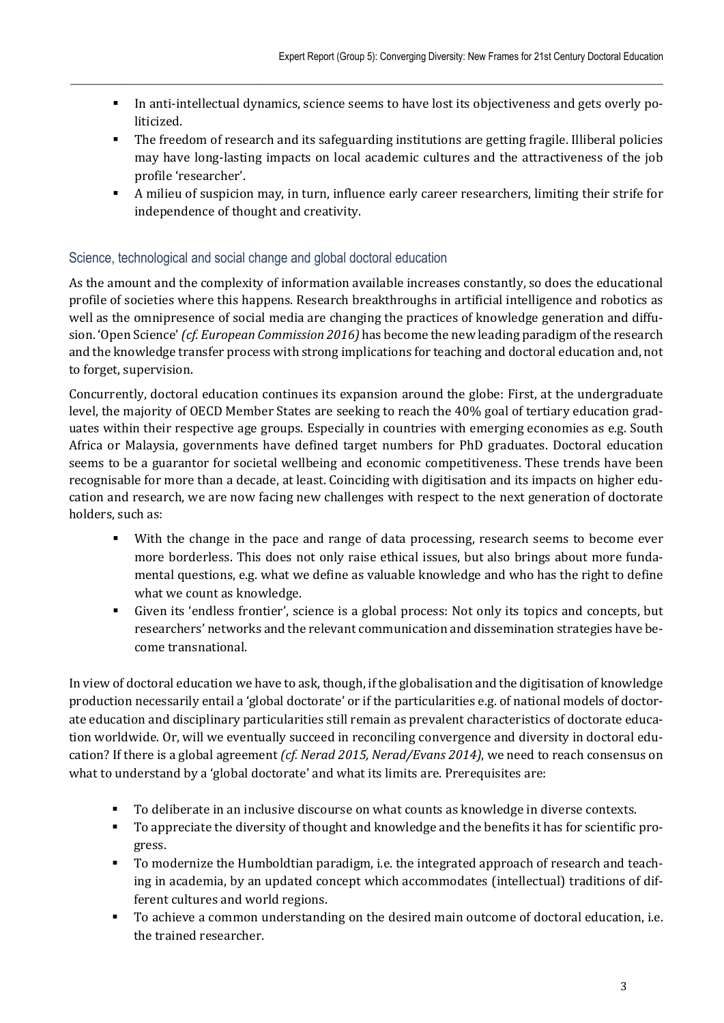In anti-intellectual dynamics, science seems to have lost its objectiveness and gets overly politicized.

 $\_$  , and the state of the state of the state of the state of the state of the state of the state of the state of the state of the state of the state of the state of the state of the state of the state of the state of the

- The freedom of research and its safeguarding institutions are getting fragile. Illiberal policies may have long-lasting impacts on local academic cultures and the attractiveness of the job profile 'researcher'.
- A milieu of suspicion may, in turn, influence early career researchers, limiting their strife for independence of thought and creativity.

# Science, technological and social change and global doctoral education

As the amount and the complexity of information available increases constantly, so does the educational profile of societies where this happens. Research breakthroughs in artificial intelligence and robotics as well as the omnipresence of social media are changing the practices of knowledge generation and diffusion. 'Open Science' *(cf. European Commission 2016)* has become the new leading paradigm of the research and the knowledge transfer process with strong implications for teaching and doctoral education and, not to forget, supervision.

Concurrently, doctoral education continues its expansion around the globe: First, at the undergraduate level, the majority of OECD Member States are seeking to reach the 40% goal of tertiary education graduates within their respective age groups. Especially in countries with emerging economies as e.g. South Africa or Malaysia, governments have defined target numbers for PhD graduates. Doctoral education seems to be a guarantor for societal wellbeing and economic competitiveness. These trends have been recognisable for more than a decade, at least. Coinciding with digitisation and its impacts on higher education and research, we are now facing new challenges with respect to the next generation of doctorate holders, such as:

- With the change in the pace and range of data processing, research seems to become ever more borderless. This does not only raise ethical issues, but also brings about more fundamental questions, e.g. what we define as valuable knowledge and who has the right to define what we count as knowledge.
- Given its 'endless frontier', science is a global process: Not only its topics and concepts, but researchers' networks and the relevant communication and dissemination strategies have become transnational.

In view of doctoral education we have to ask, though, if the globalisation and the digitisation of knowledge production necessarily entail a 'global doctorate' or if the particularities e.g. of national models of doctorate education and disciplinary particularities still remain as prevalent characteristics of doctorate education worldwide. Or, will we eventually succeed in reconciling convergence and diversity in doctoral education? If there is a global agreement *(cf. Nerad 2015, Nerad/Evans 2014)*, we need to reach consensus on what to understand by a 'global doctorate' and what its limits are. Prerequisites are:

- To deliberate in an inclusive discourse on what counts as knowledge in diverse contexts.
- To appreciate the diversity of thought and knowledge and the benefits it has for scientific progress.
- To modernize the Humboldtian paradigm, i.e. the integrated approach of research and teaching in academia, by an updated concept which accommodates (intellectual) traditions of different cultures and world regions.
- To achieve a common understanding on the desired main outcome of doctoral education, i.e. the trained researcher.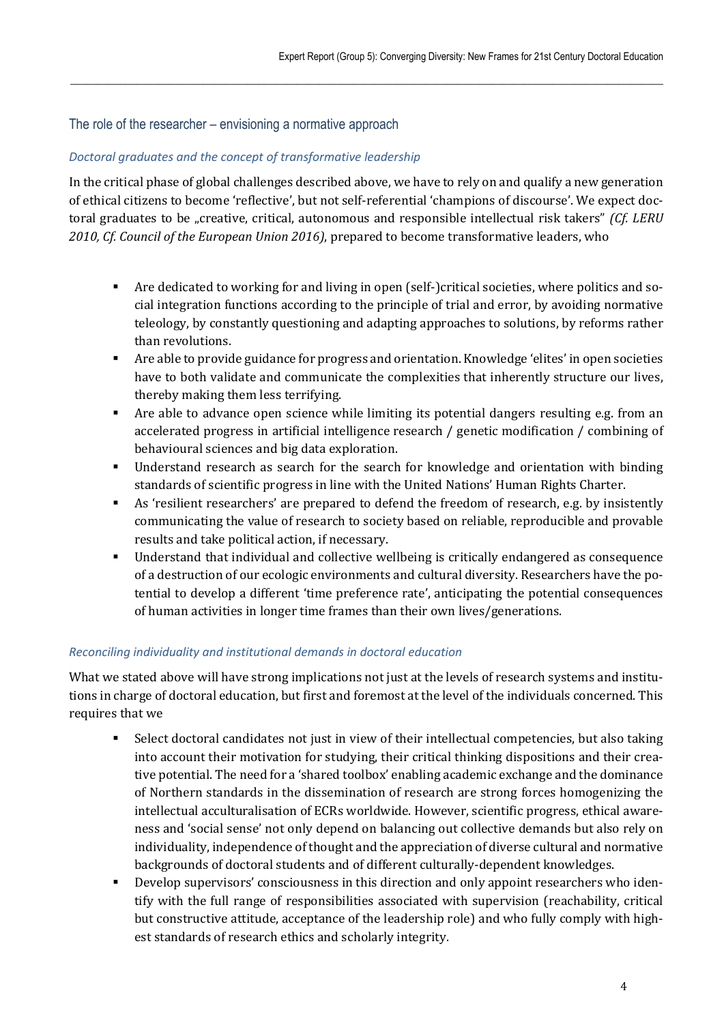### The role of the researcher – envisioning a normative approach

### *Doctoral graduates and the concept of transformative leadership*

In the critical phase of global challenges described above, we have to rely on and qualify a new generation of ethical citizens to become 'reflective', but not self-referential 'champions of discourse'. We expect doctoral graduates to be "creative, critical, autonomous and responsible intellectual risk takers" *(Cf. LERU 2010, Cf. Council of the European Union 2016)*, prepared to become transformative leaders, who

 $\_$  , and the state of the state of the state of the state of the state of the state of the state of the state of the state of the state of the state of the state of the state of the state of the state of the state of the

- Are dedicated to working for and living in open (self-)critical societies, where politics and social integration functions according to the principle of trial and error, by avoiding normative teleology, by constantly questioning and adapting approaches to solutions, by reforms rather than revolutions.
- Are able to provide guidance for progress and orientation. Knowledge 'elites' in open societies have to both validate and communicate the complexities that inherently structure our lives, thereby making them less terrifying.
- Are able to advance open science while limiting its potential dangers resulting e.g. from an accelerated progress in artificial intelligence research / genetic modification / combining of behavioural sciences and big data exploration.
- Understand research as search for the search for knowledge and orientation with binding standards of scientific progress in line with the United Nations' Human Rights Charter.
- As 'resilient researchers' are prepared to defend the freedom of research, e.g. by insistently communicating the value of research to society based on reliable, reproducible and provable results and take political action, if necessary.
- Understand that individual and collective wellbeing is critically endangered as consequence of a destruction of our ecologic environments and cultural diversity. Researchers have the potential to develop a different 'time preference rate', anticipating the potential consequences of human activities in longer time frames than their own lives/generations.

### *Reconciling individuality and institutional demands in doctoral education*

What we stated above will have strong implications not just at the levels of research systems and institutions in charge of doctoral education, but first and foremost at the level of the individuals concerned. This requires that we

- Select doctoral candidates not just in view of their intellectual competencies, but also taking into account their motivation for studying, their critical thinking dispositions and their creative potential. The need for a 'shared toolbox' enabling academic exchange and the dominance of Northern standards in the dissemination of research are strong forces homogenizing the intellectual acculturalisation of ECRs worldwide. However, scientific progress, ethical awareness and 'social sense' not only depend on balancing out collective demands but also rely on individuality, independence of thought and the appreciation of diverse cultural and normative backgrounds of doctoral students and of different culturally-dependent knowledges.
- Develop supervisors' consciousness in this direction and only appoint researchers who identify with the full range of responsibilities associated with supervision (reachability, critical but constructive attitude, acceptance of the leadership role) and who fully comply with highest standards of research ethics and scholarly integrity.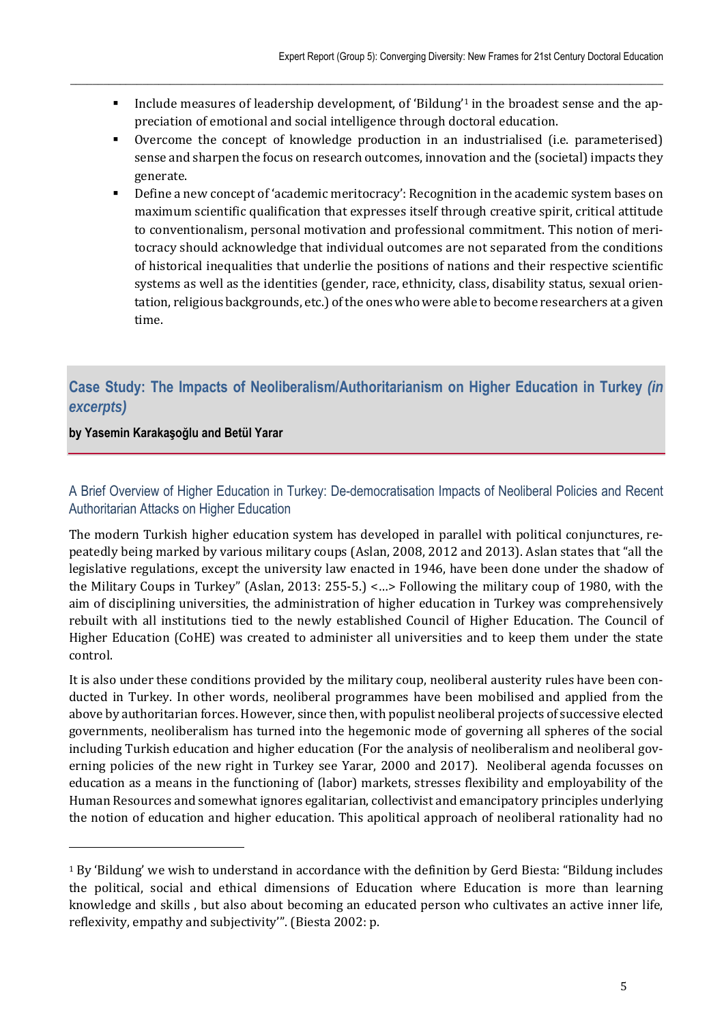Include measures of leadership development, of 'Bildung'<sup>1</sup> in the broadest sense and the appreciation of emotional and social intelligence through doctoral education.

 $\_$  , and the state of the state of the state of the state of the state of the state of the state of the state of the state of the state of the state of the state of the state of the state of the state of the state of the

- Overcome the concept of knowledge production in an industrialised (i.e. parameterised) sense and sharpen the focus on research outcomes, innovation and the (societal) impacts they generate.
- Define a new concept of 'academic meritocracy': Recognition in the academic system bases on maximum scientific qualification that expresses itself through creative spirit, critical attitude to conventionalism, personal motivation and professional commitment. This notion of meritocracy should acknowledge that individual outcomes are not separated from the conditions of historical inequalities that underlie the positions of nations and their respective scientific systems as well as the identities (gender, race, ethnicity, class, disability status, sexual orientation, religious backgrounds, etc.) of the ones who were able to become researchers at a given time.

# **Case Study: The Impacts of Neoliberalism/Authoritarianism on Higher Education in Turkey** *(in excerpts)*

### **by Yasemin Karakaşoğlu and Betül Yarar**

 $\overline{a}$ 

# A Brief Overview of Higher Education in Turkey: De-democratisation Impacts of Neoliberal Policies and Recent Authoritarian Attacks on Higher Education

The modern Turkish higher education system has developed in parallel with political conjunctures, repeatedly being marked by various military coups (Aslan, 2008, 2012 and 2013). Aslan states that "all the legislative regulations, except the university law enacted in 1946, have been done under the shadow of the Military Coups in Turkey" (Aslan, 2013: 255-5.) <…> Following the military coup of 1980, with the aim of disciplining universities, the administration of higher education in Turkey was comprehensively rebuilt with all institutions tied to the newly established Council of Higher Education. The Council of Higher Education (CoHE) was created to administer all universities and to keep them under the state control.

It is also under these conditions provided by the military coup, neoliberal austerity rules have been conducted in Turkey. In other words, neoliberal programmes have been mobilised and applied from the above by authoritarian forces. However, since then, with populist neoliberal projects of successive elected governments, neoliberalism has turned into the hegemonic mode of governing all spheres of the social including Turkish education and higher education (For the analysis of neoliberalism and neoliberal governing policies of the new right in Turkey see Yarar, 2000 and 2017). Neoliberal agenda focusses on education as a means in the functioning of (labor) markets, stresses flexibility and employability of the Human Resources and somewhat ignores egalitarian, collectivist and emancipatory principles underlying the notion of education and higher education. This apolitical approach of neoliberal rationality had no

<sup>1</sup> By 'Bildung' we wish to understand in accordance with the definition by Gerd Biesta: "Bildung includes the political, social and ethical dimensions of Education where Education is more than learning knowledge and skills , but also about becoming an educated person who cultivates an active inner life, reflexivity, empathy and subjectivity'". (Biesta 2002: p.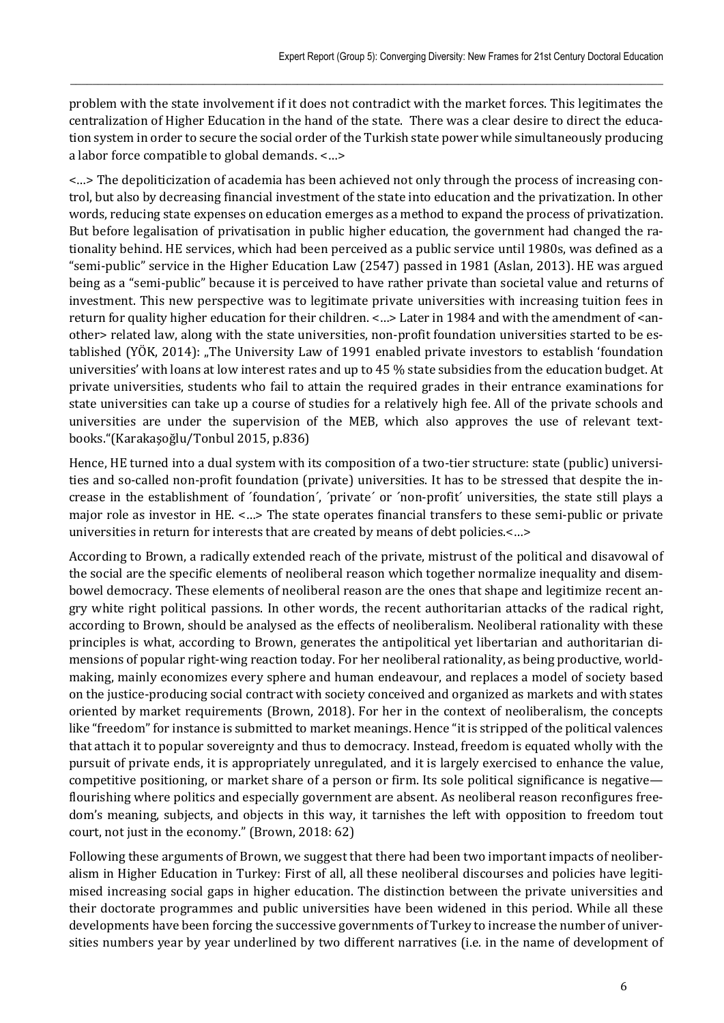problem with the state involvement if it does not contradict with the market forces. This legitimates the centralization of Higher Education in the hand of the state. There was a clear desire to direct the education system in order to secure the social order of the Turkish state power while simultaneously producing a labor force compatible to global demands. <…>

 $\_$  , and the state of the state of the state of the state of the state of the state of the state of the state of the state of the state of the state of the state of the state of the state of the state of the state of the

<…> The depoliticization of academia has been achieved not only through the process of increasing control, but also by decreasing financial investment of the state into education and the privatization. In other words, reducing state expenses on education emerges as a method to expand the process of privatization. But before legalisation of privatisation in public higher education, the government had changed the rationality behind. HE services, which had been perceived as a public service until 1980s, was defined as a "semi-public" service in the Higher Education Law (2547) passed in 1981 (Aslan, 2013). HE was argued being as a "semi-public" because it is perceived to have rather private than societal value and returns of investment. This new perspective was to legitimate private universities with increasing tuition fees in return for quality higher education for their children. <…> Later in 1984 and with the amendment of <another> related law, along with the state universities, non-profit foundation universities started to be established (YÖK, 2014): "The University Law of 1991 enabled private investors to establish 'foundation universities' with loans at low interest rates and up to 45 % state subsidies from the education budget. At private universities, students who fail to attain the required grades in their entrance examinations for state universities can take up a course of studies for a relatively high fee. All of the private schools and universities are under the supervision of the MEB, which also approves the use of relevant textbooks."(Karakaşoğlu/Tonbul 2015, p.836)

Hence, HE turned into a dual system with its composition of a two-tier structure: state (public) universities and so-called non-profit foundation (private) universities. It has to be stressed that despite the increase in the establishment of ´foundation´, ´private´ or ´non-profit´ universities, the state still plays a major role as investor in HE. <…> The state operates financial transfers to these semi-public or private universities in return for interests that are created by means of debt policies.<…>

According to Brown, a radically extended reach of the private, mistrust of the political and disavowal of the social are the specific elements of neoliberal reason which together normalize inequality and disembowel democracy. These elements of neoliberal reason are the ones that shape and legitimize recent angry white right political passions. In other words, the recent authoritarian attacks of the radical right, according to Brown, should be analysed as the effects of neoliberalism. Neoliberal rationality with these principles is what, according to Brown, generates the antipolitical yet libertarian and authoritarian dimensions of popular right-wing reaction today. For her neoliberal rationality, as being productive, worldmaking, mainly economizes every sphere and human endeavour, and replaces a model of society based on the justice-producing social contract with society conceived and organized as markets and with states oriented by market requirements (Brown, 2018). For her in the context of neoliberalism, the concepts like "freedom" for instance is submitted to market meanings. Hence "it is stripped of the political valences that attach it to popular sovereignty and thus to democracy. Instead, freedom is equated wholly with the pursuit of private ends, it is appropriately unregulated, and it is largely exercised to enhance the value, competitive positioning, or market share of a person or firm. Its sole political significance is negative flourishing where politics and especially government are absent. As neoliberal reason reconfigures freedom's meaning, subjects, and objects in this way, it tarnishes the left with opposition to freedom tout court, not just in the economy." (Brown, 2018: 62)

Following these arguments of Brown, we suggest that there had been two important impacts of neoliberalism in Higher Education in Turkey: First of all, all these neoliberal discourses and policies have legitimised increasing social gaps in higher education. The distinction between the private universities and their doctorate programmes and public universities have been widened in this period. While all these developments have been forcing the successive governments of Turkey to increase the number of universities numbers year by year underlined by two different narratives (i.e. in the name of development of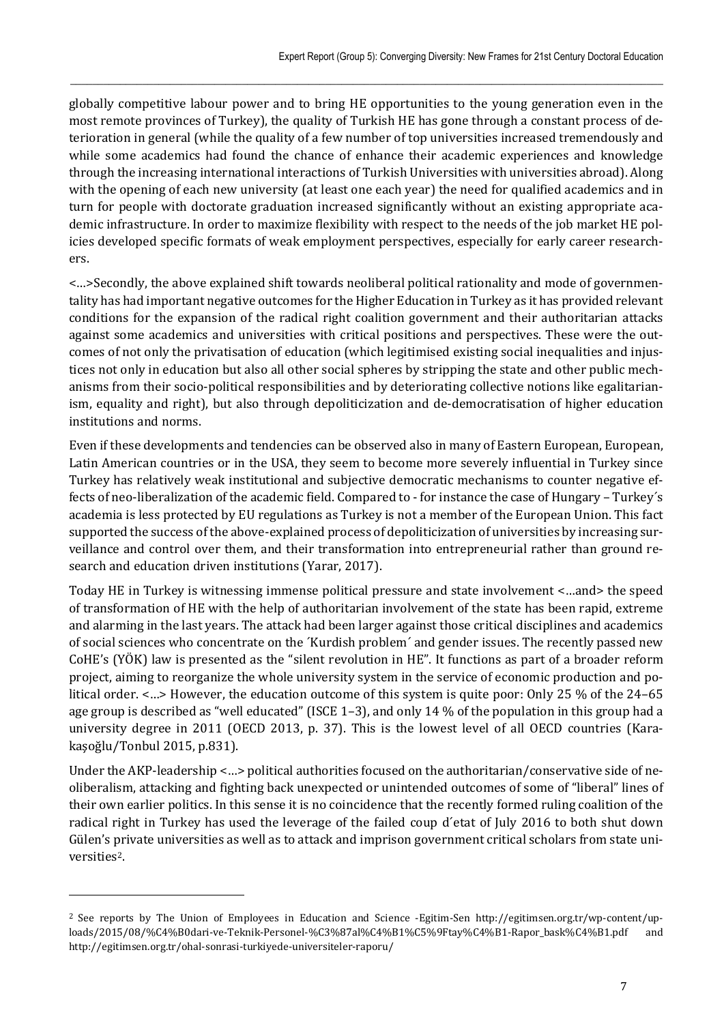globally competitive labour power and to bring HE opportunities to the young generation even in the most remote provinces of Turkey), the quality of Turkish HE has gone through a constant process of deterioration in general (while the quality of a few number of top universities increased tremendously and while some academics had found the chance of enhance their academic experiences and knowledge through the increasing international interactions of Turkish Universities with universities abroad). Along with the opening of each new university (at least one each year) the need for qualified academics and in turn for people with doctorate graduation increased significantly without an existing appropriate academic infrastructure. In order to maximize flexibility with respect to the needs of the job market HE policies developed specific formats of weak employment perspectives, especially for early career researchers.

 $\_$  , and the state of the state of the state of the state of the state of the state of the state of the state of the state of the state of the state of the state of the state of the state of the state of the state of the

<…>Secondly, the above explained shift towards neoliberal political rationality and mode of governmentality has had important negative outcomes for the Higher Education in Turkey as it has provided relevant conditions for the expansion of the radical right coalition government and their authoritarian attacks against some academics and universities with critical positions and perspectives. These were the outcomes of not only the privatisation of education (which legitimised existing social inequalities and injustices not only in education but also all other social spheres by stripping the state and other public mechanisms from their socio-political responsibilities and by deteriorating collective notions like egalitarianism, equality and right), but also through depoliticization and de-democratisation of higher education institutions and norms.

Even if these developments and tendencies can be observed also in many of Eastern European, European, Latin American countries or in the USA, they seem to become more severely influential in Turkey since Turkey has relatively weak institutional and subjective democratic mechanisms to counter negative effects of neo-liberalization of the academic field. Compared to - for instance the case of Hungary – Turkey´s academia is less protected by EU regulations as Turkey is not a member of the European Union. This fact supported the success of the above-explained process of depoliticization of universities by increasing surveillance and control over them, and their transformation into entrepreneurial rather than ground research and education driven institutions (Yarar, 2017).

Today HE in Turkey is witnessing immense political pressure and state involvement <…and> the speed of transformation of HE with the help of authoritarian involvement of the state has been rapid, extreme and alarming in the last years. The attack had been larger against those critical disciplines and academics of social sciences who concentrate on the ´Kurdish problem´ and gender issues. The recently passed new CoHE's (YÖK) law is presented as the "silent revolution in HE". It functions as part of a broader reform project, aiming to reorganize the whole university system in the service of economic production and political order. <…> However, the education outcome of this system is quite poor: Only 25 % of the 24–65 age group is described as "well educated" (ISCE 1–3), and only 14 % of the population in this group had a university degree in 2011 (OECD 2013, p. 37). This is the lowest level of all OECD countries (Karakaşoğlu/Tonbul 2015, p.831).

Under the AKP-leadership <…> political authorities focused on the authoritarian/conservative side of neoliberalism, attacking and fighting back unexpected or unintended outcomes of some of "liberal" lines of their own earlier politics. In this sense it is no coincidence that the recently formed ruling coalition of the radical right in Turkey has used the leverage of the failed coup d´etat of July 2016 to both shut down Gülen's private universities as well as to attack and imprison government critical scholars from state universities2.

<sup>2</sup> See reports by The Union of Employees in Education and Science -Egitim-Sen http://egitimsen.org.tr/wp-content/uploads/2015/08/%C4%B0dari-ve-Teknik-Personel-%C3%87al%C4%B1%C5%9Ftay%C4%B1-Rapor\_bask%C4%B1.pdf and http://egitimsen.org.tr/ohal-sonrasi-turkiyede-universiteler-raporu/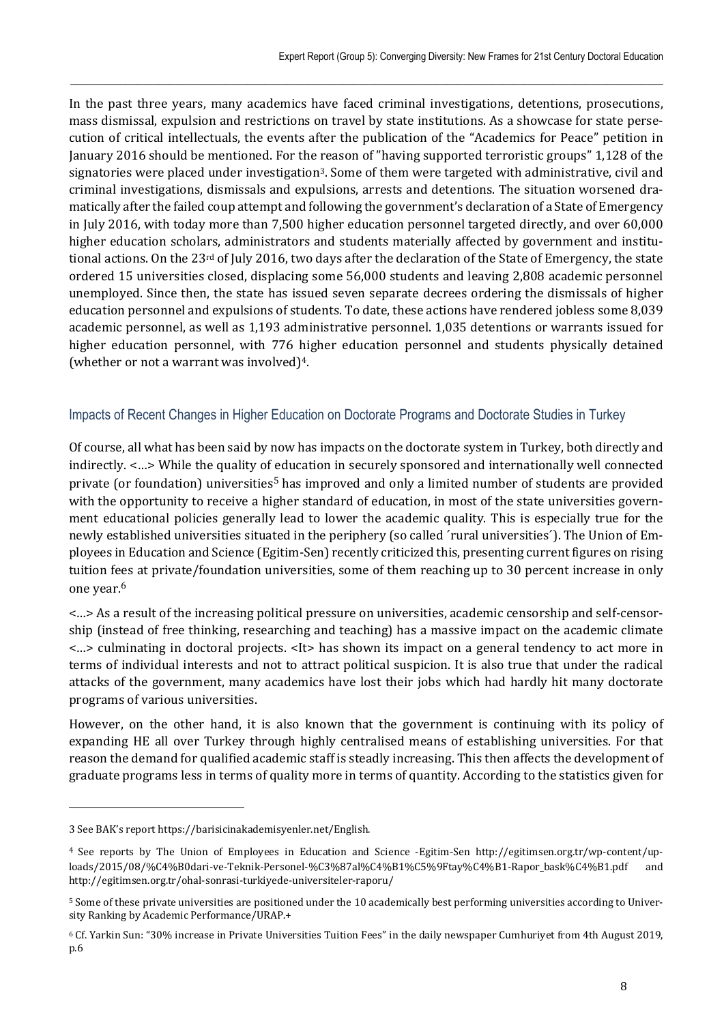In the past three years, many academics have faced criminal investigations, detentions, prosecutions, mass dismissal, expulsion and restrictions on travel by state institutions. As a showcase for state persecution of critical intellectuals, the events after the publication of the "Academics for Peace" petition in January 2016 should be mentioned. For the reason of "having supported terroristic groups" 1,128 of the signatories were placed under investigation<sup>3</sup>. Some of them were targeted with administrative, civil and criminal investigations, dismissals and expulsions, arrests and detentions. The situation worsened dramatically after the failed coup attempt and following the government's declaration of a State of Emergency in July 2016, with today more than 7,500 higher education personnel targeted directly, and over 60,000 higher education scholars, administrators and students materially affected by government and institutional actions. On the 23rd of July 2016, two days after the declaration of the State of Emergency, the state ordered 15 universities closed, displacing some 56,000 students and leaving 2,808 academic personnel unemployed. Since then, the state has issued seven separate decrees ordering the dismissals of higher education personnel and expulsions of students. To date, these actions have rendered jobless some 8,039 academic personnel, as well as 1,193 administrative personnel. 1,035 detentions or warrants issued for higher education personnel, with 776 higher education personnel and students physically detained (whether or not a warrant was involved)4.

 $\_$  , and the state of the state of the state of the state of the state of the state of the state of the state of the state of the state of the state of the state of the state of the state of the state of the state of the

# Impacts of Recent Changes in Higher Education on Doctorate Programs and Doctorate Studies in Turkey

Of course, all what has been said by now has impacts on the doctorate system in Turkey, both directly and indirectly. <…> While the quality of education in securely sponsored and internationally well connected private (or foundation) universities5 has improved and only a limited number of students are provided with the opportunity to receive a higher standard of education, in most of the state universities government educational policies generally lead to lower the academic quality. This is especially true for the newly established universities situated in the periphery (so called ´rural universities´). The Union of Employees in Education and Science (Egitim-Sen) recently criticized this, presenting current figures on rising tuition fees at private/foundation universities, some of them reaching up to 30 percent increase in only one year.6

<…> As a result of the increasing political pressure on universities, academic censorship and self-censorship (instead of free thinking, researching and teaching) has a massive impact on the academic climate <…> culminating in doctoral projects. <It> has shown its impact on a general tendency to act more in terms of individual interests and not to attract political suspicion. It is also true that under the radical attacks of the government, many academics have lost their jobs which had hardly hit many doctorate programs of various universities.

However, on the other hand, it is also known that the government is continuing with its policy of expanding HE all over Turkey through highly centralised means of establishing universities. For that reason the demand for qualified academic staff is steadly increasing. This then affects the development of graduate programs less in terms of quality more in terms of quantity. According to the statistics given for

 $\overline{a}$ 

<sup>3</sup> See BAK's report https://barisicinakademisyenler.net/English.

<sup>4</sup> See reports by The Union of Employees in Education and Science -Egitim-Sen http://egitimsen.org.tr/wp-content/uploads/2015/08/%C4%B0dari-ve-Teknik-Personel-%C3%87al%C4%B1%C5%9Ftay%C4%B1-Rapor\_bask%C4%B1.pdf and http://egitimsen.org.tr/ohal-sonrasi-turkiyede-universiteler-raporu/

<sup>5</sup> Some of these private universities are positioned under the 10 academically best performing universities according to University Ranking by Academic Performance/URAP.+

<sup>6</sup> Cf. Yarkin Sun: "30% increase in Private Universities Tuition Fees" in the daily newspaper Cumhuriyet from 4th August 2019, p.6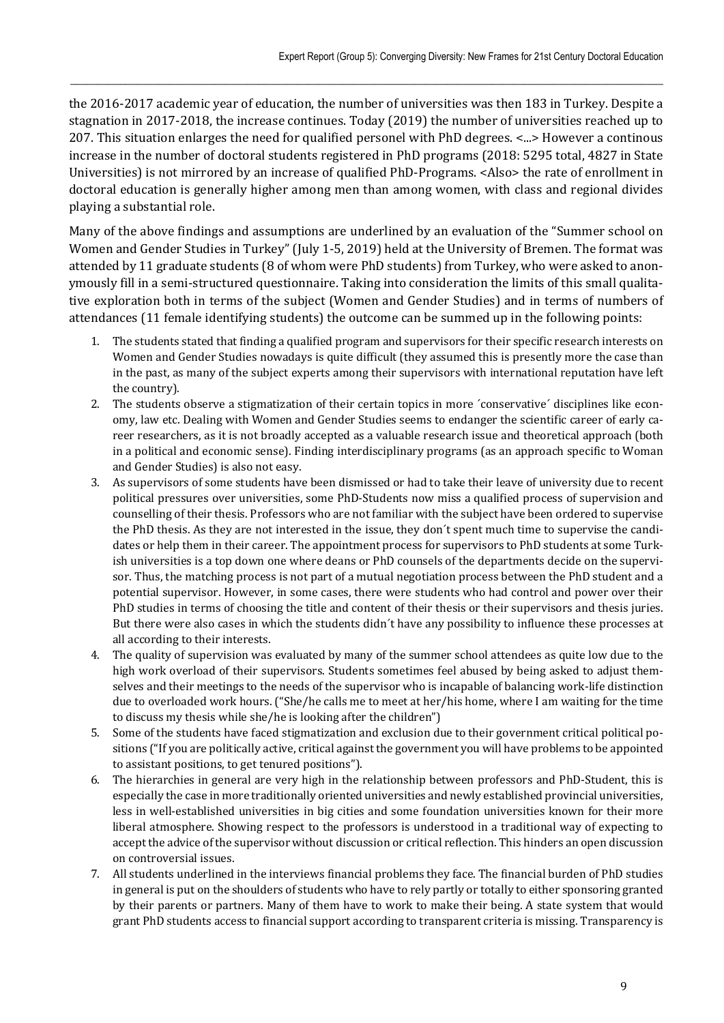the 2016-2017 academic year of education, the number of universities was then 183 in Turkey. Despite a stagnation in 2017-2018, the increase continues. Today (2019) the number of universities reached up to 207. This situation enlarges the need for qualified personel with PhD degrees. <...> However a continous increase in the number of doctoral students registered in PhD programs (2018: 5295 total, 4827 in State Universities) is not mirrored by an increase of qualified PhD-Programs. <Also> the rate of enrollment in doctoral education is generally higher among men than among women, with class and regional divides playing a substantial role.

 $\_$  , and the state of the state of the state of the state of the state of the state of the state of the state of the state of the state of the state of the state of the state of the state of the state of the state of the

Many of the above findings and assumptions are underlined by an evaluation of the "Summer school on Women and Gender Studies in Turkey" (July 1-5, 2019) held at the University of Bremen. The format was attended by 11 graduate students (8 of whom were PhD students) from Turkey, who were asked to anonymously fill in a semi-structured questionnaire. Taking into consideration the limits of this small qualitative exploration both in terms of the subject (Women and Gender Studies) and in terms of numbers of attendances (11 female identifying students) the outcome can be summed up in the following points:

- 1. The students stated that finding a qualified program and supervisors for their specific research interests on Women and Gender Studies nowadays is quite difficult (they assumed this is presently more the case than in the past, as many of the subject experts among their supervisors with international reputation have left the country).
- 2. The students observe a stigmatization of their certain topics in more ´conservative´ disciplines like economy, law etc. Dealing with Women and Gender Studies seems to endanger the scientific career of early career researchers, as it is not broadly accepted as a valuable research issue and theoretical approach (both in a political and economic sense). Finding interdisciplinary programs (as an approach specific to Woman and Gender Studies) is also not easy.
- 3. As supervisors of some students have been dismissed or had to take their leave of university due to recent political pressures over universities, some PhD-Students now miss a qualified process of supervision and counselling of their thesis. Professors who are not familiar with the subject have been ordered to supervise the PhD thesis. As they are not interested in the issue, they don´t spent much time to supervise the candidates or help them in their career. The appointment process for supervisors to PhD students at some Turkish universities is a top down one where deans or PhD counsels of the departments decide on the supervisor. Thus, the matching process is not part of a mutual negotiation process between the PhD student and a potential supervisor. However, in some cases, there were students who had control and power over their PhD studies in terms of choosing the title and content of their thesis or their supervisors and thesis juries. But there were also cases in which the students didn´t have any possibility to influence these processes at all according to their interests.
- 4. The quality of supervision was evaluated by many of the summer school attendees as quite low due to the high work overload of their supervisors. Students sometimes feel abused by being asked to adjust themselves and their meetings to the needs of the supervisor who is incapable of balancing work-life distinction due to overloaded work hours. ("She/he calls me to meet at her/his home, where I am waiting for the time to discuss my thesis while she/he is looking after the children")
- 5. Some of the students have faced stigmatization and exclusion due to their government critical political positions ("If you are politically active, critical against the government you will have problems to be appointed to assistant positions, to get tenured positions").
- 6. The hierarchies in general are very high in the relationship between professors and PhD-Student, this is especially the case in more traditionally oriented universities and newly established provincial universities, less in well-established universities in big cities and some foundation universities known for their more liberal atmosphere. Showing respect to the professors is understood in a traditional way of expecting to accept the advice of the supervisor without discussion or critical reflection. This hinders an open discussion on controversial issues.
- 7. All students underlined in the interviews financial problems they face. The financial burden of PhD studies in general is put on the shoulders of students who have to rely partly or totally to either sponsoring granted by their parents or partners. Many of them have to work to make their being. A state system that would grant PhD students access to financial support according to transparent criteria is missing. Transparency is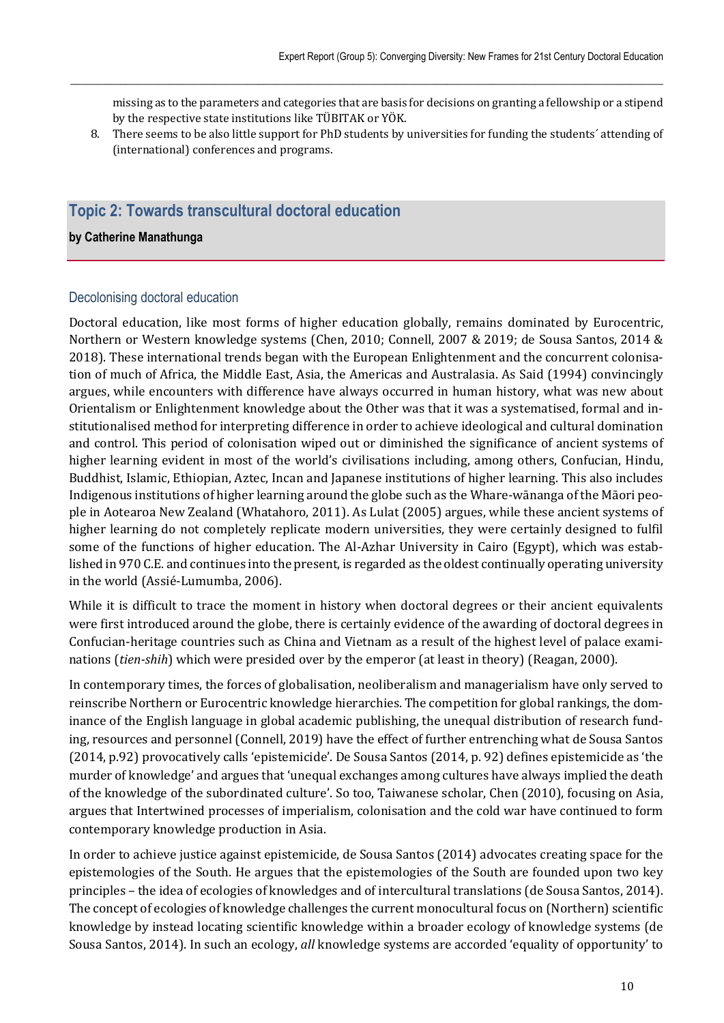missing as to the parameters and categories that are basis for decisions on granting a fellowship or a stipend by the respective state institutions like TÜBITAK or YÖK.

8. There seems to be also little support for PhD students by universities for funding the students´ attending of (international) conferences and programs.

 $\_$  , and the state of the state of the state of the state of the state of the state of the state of the state of the state of the state of the state of the state of the state of the state of the state of the state of the

# **Topic 2: Towards transcultural doctoral education**

#### **by Catherine Manathunga**

#### Decolonising doctoral education

Doctoral education, like most forms of higher education globally, remains dominated by Eurocentric, Northern or Western knowledge systems (Chen, 2010; Connell, 2007 & 2019; de Sousa Santos, 2014 & 2018). These international trends began with the European Enlightenment and the concurrent colonisation of much of Africa, the Middle East, Asia, the Americas and Australasia. As Said (1994) convincingly argues, while encounters with difference have always occurred in human history, what was new about Orientalism or Enlightenment knowledge about the Other was that it was a systematised, formal and institutionalised method for interpreting difference in order to achieve ideological and cultural domination and control. This period of colonisation wiped out or diminished the significance of ancient systems of higher learning evident in most of the world's civilisations including, among others, Confucian, Hindu, Buddhist, Islamic, Ethiopian, Aztec, Incan and Japanese institutions of higher learning. This also includes Indigenous institutions of higher learning around the globe such as the Whare-wānanga of the Māori people in Aotearoa New Zealand (Whatahoro, 2011). As Lulat (2005) argues, while these ancient systems of higher learning do not completely replicate modern universities, they were certainly designed to fulfil some of the functions of higher education. The Al-Azhar University in Cairo (Egypt), which was established in 970 C.E. and continues into the present, is regarded as the oldest continually operating university in the world (Assié-Lumumba, 2006).

While it is difficult to trace the moment in history when doctoral degrees or their ancient equivalents were first introduced around the globe, there is certainly evidence of the awarding of doctoral degrees in Confucian-heritage countries such as China and Vietnam as a result of the highest level of palace examinations (*tien‐shih*) which were presided over by the emperor (at least in theory) (Reagan, 2000).

In contemporary times, the forces of globalisation, neoliberalism and managerialism have only served to reinscribe Northern or Eurocentric knowledge hierarchies. The competition for global rankings, the dominance of the English language in global academic publishing, the unequal distribution of research funding, resources and personnel (Connell, 2019) have the effect of further entrenching what de Sousa Santos (2014, p.92) provocatively calls 'epistemicide'. De Sousa Santos (2014, p. 92) defines epistemicide as 'the murder of knowledge' and argues that 'unequal exchanges among cultures have always implied the death of the knowledge of the subordinated culture'. So too, Taiwanese scholar, Chen (2010), focusing on Asia, argues that Intertwined processes of imperialism, colonisation and the cold war have continued to form contemporary knowledge production in Asia.

In order to achieve justice against epistemicide, de Sousa Santos (2014) advocates creating space for the epistemologies of the South. He argues that the epistemologies of the South are founded upon two key principles – the idea of ecologies of knowledges and of intercultural translations (de Sousa Santos, 2014). The concept of ecologies of knowledge challenges the current monocultural focus on (Northern) scientific knowledge by instead locating scientific knowledge within a broader ecology of knowledge systems (de Sousa Santos, 2014). In such an ecology, *all* knowledge systems are accorded 'equality of opportunity' to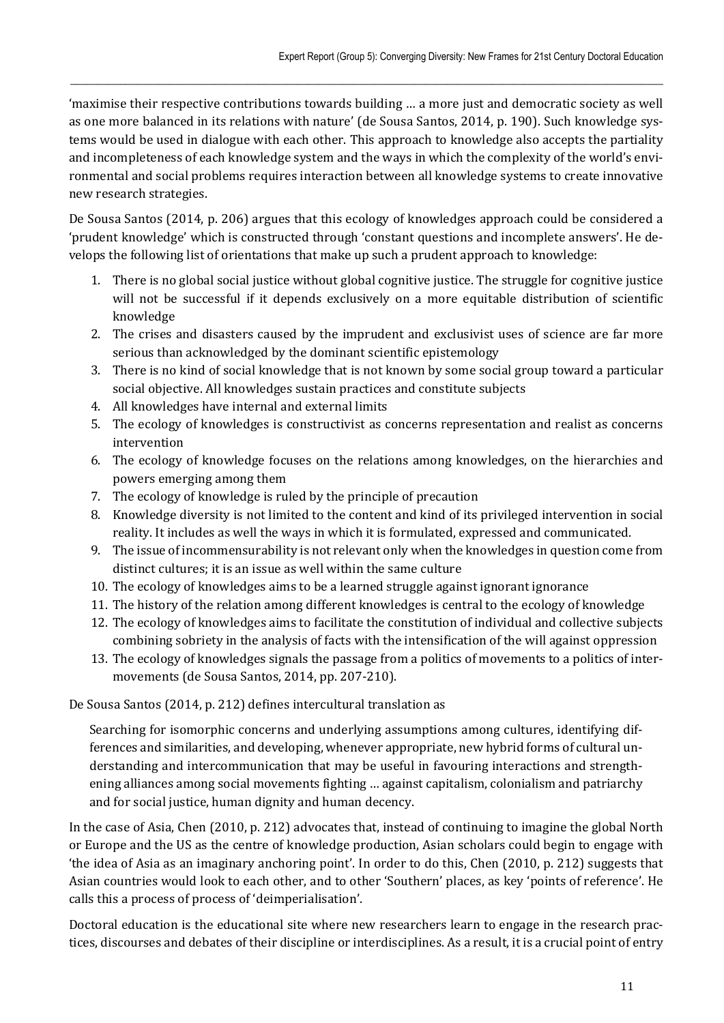'maximise their respective contributions towards building … a more just and democratic society as well as one more balanced in its relations with nature' (de Sousa Santos, 2014, p. 190). Such knowledge systems would be used in dialogue with each other. This approach to knowledge also accepts the partiality and incompleteness of each knowledge system and the ways in which the complexity of the world's environmental and social problems requires interaction between all knowledge systems to create innovative new research strategies.

 $\_$  , and the state of the state of the state of the state of the state of the state of the state of the state of the state of the state of the state of the state of the state of the state of the state of the state of the

De Sousa Santos (2014, p. 206) argues that this ecology of knowledges approach could be considered a 'prudent knowledge' which is constructed through 'constant questions and incomplete answers'. He develops the following list of orientations that make up such a prudent approach to knowledge:

- 1. There is no global social justice without global cognitive justice. The struggle for cognitive justice will not be successful if it depends exclusively on a more equitable distribution of scientific knowledge
- 2. The crises and disasters caused by the imprudent and exclusivist uses of science are far more serious than acknowledged by the dominant scientific epistemology
- 3. There is no kind of social knowledge that is not known by some social group toward a particular social objective. All knowledges sustain practices and constitute subjects
- 4. All knowledges have internal and external limits
- 5. The ecology of knowledges is constructivist as concerns representation and realist as concerns intervention
- 6. The ecology of knowledge focuses on the relations among knowledges, on the hierarchies and powers emerging among them
- 7. The ecology of knowledge is ruled by the principle of precaution
- 8. Knowledge diversity is not limited to the content and kind of its privileged intervention in social reality. It includes as well the ways in which it is formulated, expressed and communicated.
- 9. The issue of incommensurability is not relevant only when the knowledges in question come from distinct cultures; it is an issue as well within the same culture
- 10. The ecology of knowledges aims to be a learned struggle against ignorant ignorance
- 11. The history of the relation among different knowledges is central to the ecology of knowledge
- 12. The ecology of knowledges aims to facilitate the constitution of individual and collective subjects combining sobriety in the analysis of facts with the intensification of the will against oppression
- 13. The ecology of knowledges signals the passage from a politics of movements to a politics of intermovements (de Sousa Santos, 2014, pp. 207-210).

De Sousa Santos (2014, p. 212) defines intercultural translation as

Searching for isomorphic concerns and underlying assumptions among cultures, identifying differences and similarities, and developing, whenever appropriate, new hybrid forms of cultural understanding and intercommunication that may be useful in favouring interactions and strengthening alliances among social movements fighting … against capitalism, colonialism and patriarchy and for social justice, human dignity and human decency.

In the case of Asia, Chen (2010, p. 212) advocates that, instead of continuing to imagine the global North or Europe and the US as the centre of knowledge production, Asian scholars could begin to engage with 'the idea of Asia as an imaginary anchoring point'. In order to do this, Chen (2010, p. 212) suggests that Asian countries would look to each other, and to other 'Southern' places, as key 'points of reference'. He calls this a process of process of 'deimperialisation'.

Doctoral education is the educational site where new researchers learn to engage in the research practices, discourses and debates of their discipline or interdisciplines. As a result, it is a crucial point of entry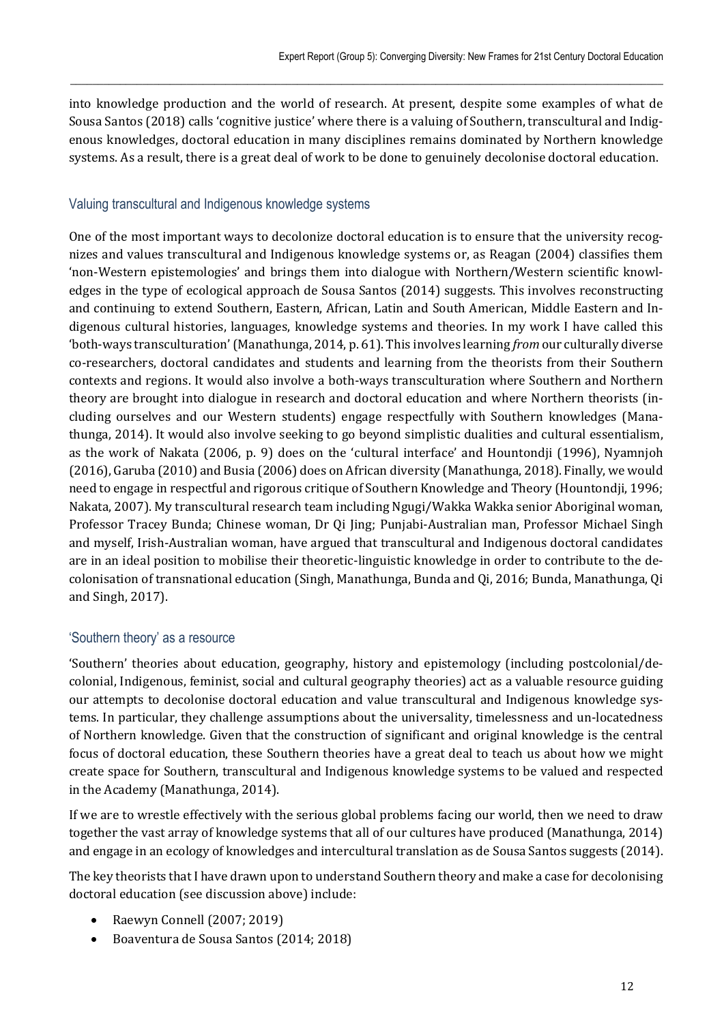into knowledge production and the world of research. At present, despite some examples of what de Sousa Santos (2018) calls 'cognitive justice' where there is a valuing of Southern, transcultural and Indigenous knowledges, doctoral education in many disciplines remains dominated by Northern knowledge systems. As a result, there is a great deal of work to be done to genuinely decolonise doctoral education.

 $\_$  , and the state of the state of the state of the state of the state of the state of the state of the state of the state of the state of the state of the state of the state of the state of the state of the state of the

### Valuing transcultural and Indigenous knowledge systems

One of the most important ways to decolonize doctoral education is to ensure that the university recognizes and values transcultural and Indigenous knowledge systems or, as Reagan (2004) classifies them 'non-Western epistemologies' and brings them into dialogue with Northern/Western scientific knowledges in the type of ecological approach de Sousa Santos (2014) suggests. This involves reconstructing and continuing to extend Southern, Eastern, African, Latin and South American, Middle Eastern and Indigenous cultural histories, languages, knowledge systems and theories. In my work I have called this 'both-ways transculturation' (Manathunga, 2014, p. 61). This involves learning *from* our culturally diverse co-researchers, doctoral candidates and students and learning from the theorists from their Southern contexts and regions. It would also involve a both-ways transculturation where Southern and Northern theory are brought into dialogue in research and doctoral education and where Northern theorists (including ourselves and our Western students) engage respectfully with Southern knowledges (Manathunga, 2014). It would also involve seeking to go beyond simplistic dualities and cultural essentialism, as the work of Nakata (2006, p. 9) does on the 'cultural interface' and Hountondji (1996), Nyamnjoh (2016), Garuba (2010) and Busia (2006) does on African diversity (Manathunga, 2018). Finally, we would need to engage in respectful and rigorous critique of Southern Knowledge and Theory (Hountondji, 1996; Nakata, 2007). My transcultural research team including Ngugi/Wakka Wakka senior Aboriginal woman, Professor Tracey Bunda; Chinese woman, Dr Qi Jing; Punjabi-Australian man, Professor Michael Singh and myself, Irish-Australian woman, have argued that transcultural and Indigenous doctoral candidates are in an ideal position to mobilise their theoretic-linguistic knowledge in order to contribute to the decolonisation of transnational education (Singh, Manathunga, Bunda and Qi, 2016; Bunda, Manathunga, Qi and Singh, 2017).

# 'Southern theory' as a resource

'Southern' theories about education, geography, history and epistemology (including postcolonial/decolonial, Indigenous, feminist, social and cultural geography theories) act as a valuable resource guiding our attempts to decolonise doctoral education and value transcultural and Indigenous knowledge systems. In particular, they challenge assumptions about the universality, timelessness and un-locatedness of Northern knowledge. Given that the construction of significant and original knowledge is the central focus of doctoral education, these Southern theories have a great deal to teach us about how we might create space for Southern, transcultural and Indigenous knowledge systems to be valued and respected in the Academy (Manathunga, 2014).

If we are to wrestle effectively with the serious global problems facing our world, then we need to draw together the vast array of knowledge systems that all of our cultures have produced (Manathunga, 2014) and engage in an ecology of knowledges and intercultural translation as de Sousa Santos suggests (2014).

The key theorists that I have drawn upon to understand Southern theory and make a case for decolonising doctoral education (see discussion above) include:

- Raewyn Connell (2007; 2019)
- Boaventura de Sousa Santos (2014; 2018)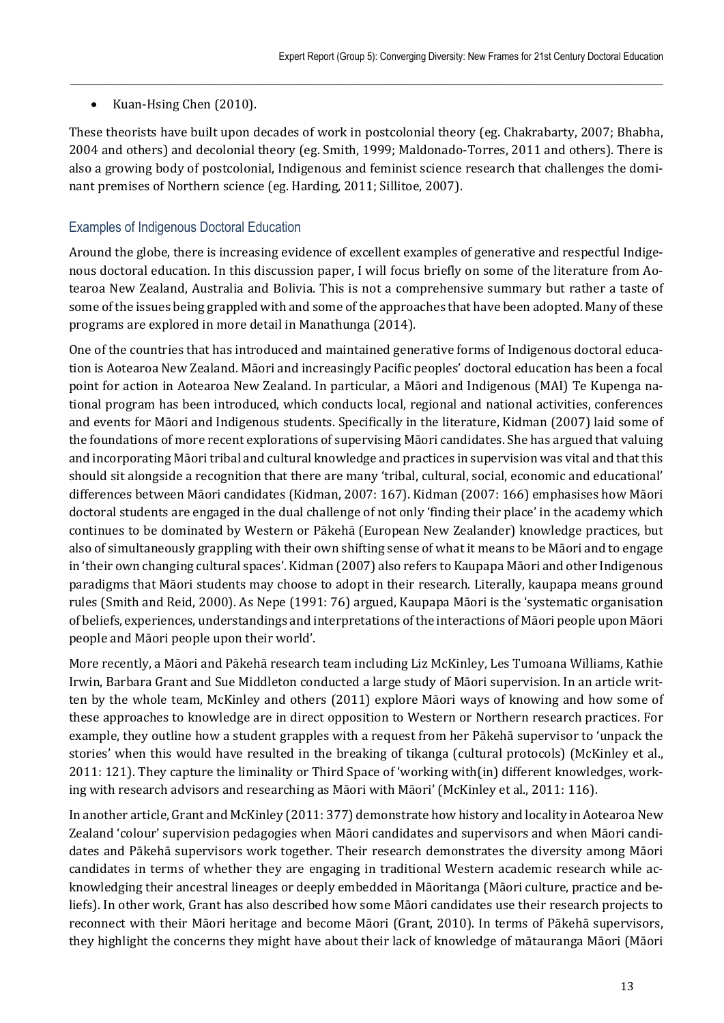# • Kuan-Hsing Chen (2010).

These theorists have built upon decades of work in postcolonial theory (eg. Chakrabarty, 2007; Bhabha, 2004 and others) and decolonial theory (eg. Smith, 1999; Maldonado-Torres, 2011 and others). There is also a growing body of postcolonial, Indigenous and feminist science research that challenges the dominant premises of Northern science (eg. Harding, 2011; Sillitoe, 2007).

 $\_$  , and the state of the state of the state of the state of the state of the state of the state of the state of the state of the state of the state of the state of the state of the state of the state of the state of the

# Examples of Indigenous Doctoral Education

Around the globe, there is increasing evidence of excellent examples of generative and respectful Indigenous doctoral education. In this discussion paper, I will focus briefly on some of the literature from Aotearoa New Zealand, Australia and Bolivia. This is not a comprehensive summary but rather a taste of some of the issues being grappled with and some of the approaches that have been adopted. Many of these programs are explored in more detail in Manathunga (2014).

One of the countries that has introduced and maintained generative forms of Indigenous doctoral education is Aotearoa New Zealand. Māori and increasingly Pacific peoples' doctoral education has been a focal point for action in Aotearoa New Zealand. In particular, a Māori and Indigenous (MAI) Te Kupenga national program has been introduced, which conducts local, regional and national activities, conferences and events for Māori and Indigenous students. Specifically in the literature, Kidman (2007) laid some of the foundations of more recent explorations of supervising Māori candidates. She has argued that valuing and incorporating Māori tribal and cultural knowledge and practices in supervision was vital and that this should sit alongside a recognition that there are many 'tribal, cultural, social, economic and educational' differences between Māori candidates (Kidman, 2007: 167). Kidman (2007: 166) emphasises how Māori doctoral students are engaged in the dual challenge of not only 'finding their place' in the academy which continues to be dominated by Western or Pākehā (European New Zealander) knowledge practices, but also of simultaneously grappling with their own shifting sense of what it means to be Māori and to engage in 'their own changing cultural spaces'. Kidman (2007) also refers to Kaupapa Māori and other Indigenous paradigms that Māori students may choose to adopt in their research. Literally, kaupapa means ground rules (Smith and Reid, 2000). As Nepe (1991: 76) argued, Kaupapa Māori is the 'systematic organisation of beliefs, experiences, understandings and interpretations of the interactions of Māori people upon Māori people and Māori people upon their world'.

More recently, a Māori and Pākehā research team including Liz McKinley, Les Tumoana Williams, Kathie Irwin, Barbara Grant and Sue Middleton conducted a large study of Māori supervision. In an article written by the whole team, McKinley and others (2011) explore Māori ways of knowing and how some of these approaches to knowledge are in direct opposition to Western or Northern research practices. For example, they outline how a student grapples with a request from her Pākehā supervisor to 'unpack the stories' when this would have resulted in the breaking of tikanga (cultural protocols) (McKinley et al., 2011: 121). They capture the liminality or Third Space of 'working with(in) different knowledges, working with research advisors and researching as Māori with Māori' (McKinley et al., 2011: 116).

In another article, Grant and McKinley (2011: 377) demonstrate how history and locality in Aotearoa New Zealand 'colour' supervision pedagogies when Māori candidates and supervisors and when Māori candidates and Pākehā supervisors work together. Their research demonstrates the diversity among Māori candidates in terms of whether they are engaging in traditional Western academic research while acknowledging their ancestral lineages or deeply embedded in Māoritanga (Māori culture, practice and beliefs). In other work, Grant has also described how some Māori candidates use their research projects to reconnect with their Māori heritage and become Māori (Grant, 2010). In terms of Pākehā supervisors, they highlight the concerns they might have about their lack of knowledge of mātauranga Māori (Māori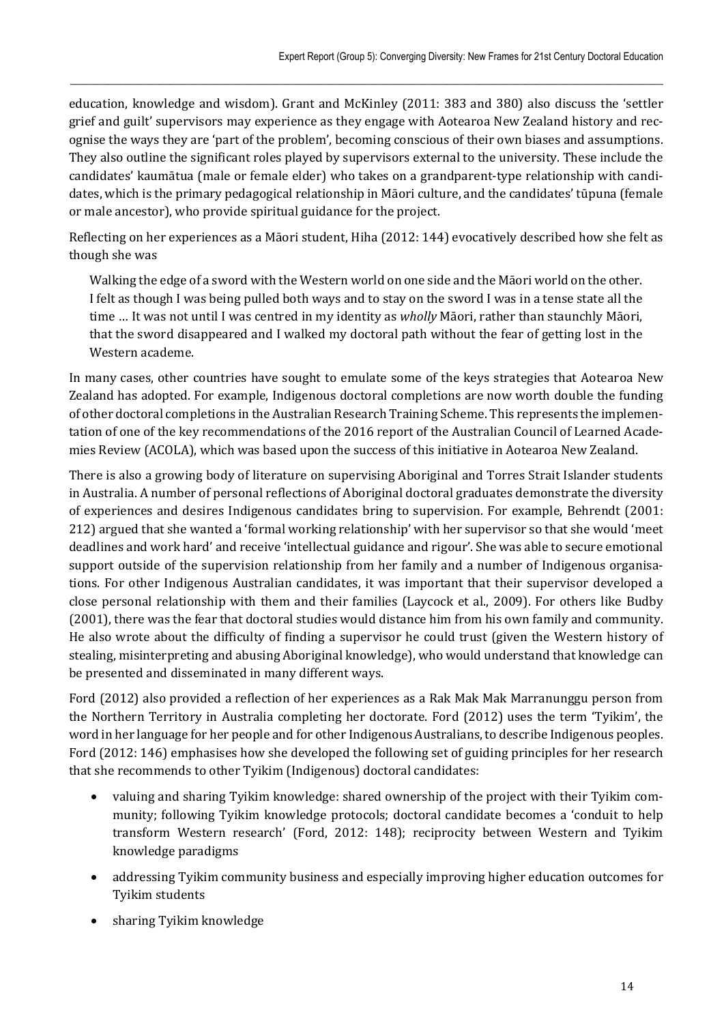education, knowledge and wisdom). Grant and McKinley (2011: 383 and 380) also discuss the 'settler grief and guilt' supervisors may experience as they engage with Aotearoa New Zealand history and recognise the ways they are 'part of the problem', becoming conscious of their own biases and assumptions. They also outline the significant roles played by supervisors external to the university. These include the candidates' kaumātua (male or female elder) who takes on a grandparent-type relationship with candidates, which is the primary pedagogical relationship in Māori culture, and the candidates' tūpuna (female or male ancestor), who provide spiritual guidance for the project.

 $\_$  , and the state of the state of the state of the state of the state of the state of the state of the state of the state of the state of the state of the state of the state of the state of the state of the state of the

Reflecting on her experiences as a Māori student, Hiha (2012: 144) evocatively described how she felt as though she was

Walking the edge of a sword with the Western world on one side and the Māori world on the other. I felt as though I was being pulled both ways and to stay on the sword I was in a tense state all the time … It was not until I was centred in my identity as *wholly* Māori, rather than staunchly Māori, that the sword disappeared and I walked my doctoral path without the fear of getting lost in the Western academe.

In many cases, other countries have sought to emulate some of the keys strategies that Aotearoa New Zealand has adopted. For example, Indigenous doctoral completions are now worth double the funding of other doctoral completions in the Australian Research Training Scheme. This represents the implementation of one of the key recommendations of the 2016 report of the Australian Council of Learned Academies Review (ACOLA), which was based upon the success of this initiative in Aotearoa New Zealand.

There is also a growing body of literature on supervising Aboriginal and Torres Strait Islander students in Australia. A number of personal reflections of Aboriginal doctoral graduates demonstrate the diversity of experiences and desires Indigenous candidates bring to supervision. For example, Behrendt (2001: 212) argued that she wanted a 'formal working relationship' with her supervisor so that she would 'meet deadlines and work hard' and receive 'intellectual guidance and rigour'. She was able to secure emotional support outside of the supervision relationship from her family and a number of Indigenous organisations. For other Indigenous Australian candidates, it was important that their supervisor developed a close personal relationship with them and their families (Laycock et al., 2009). For others like Budby (2001), there was the fear that doctoral studies would distance him from his own family and community. He also wrote about the difficulty of finding a supervisor he could trust (given the Western history of stealing, misinterpreting and abusing Aboriginal knowledge), who would understand that knowledge can be presented and disseminated in many different ways.

Ford (2012) also provided a reflection of her experiences as a Rak Mak Mak Marranunggu person from the Northern Territory in Australia completing her doctorate. Ford (2012) uses the term 'Tyikim', the word in her language for her people and for other Indigenous Australians, to describe Indigenous peoples. Ford (2012: 146) emphasises how she developed the following set of guiding principles for her research that she recommends to other Tyikim (Indigenous) doctoral candidates:

- valuing and sharing Tyikim knowledge: shared ownership of the project with their Tyikim community; following Tyikim knowledge protocols; doctoral candidate becomes a 'conduit to help transform Western research' (Ford, 2012: 148); reciprocity between Western and Tyikim knowledge paradigms
- addressing Tyikim community business and especially improving higher education outcomes for Tyikim students
- sharing Tyikim knowledge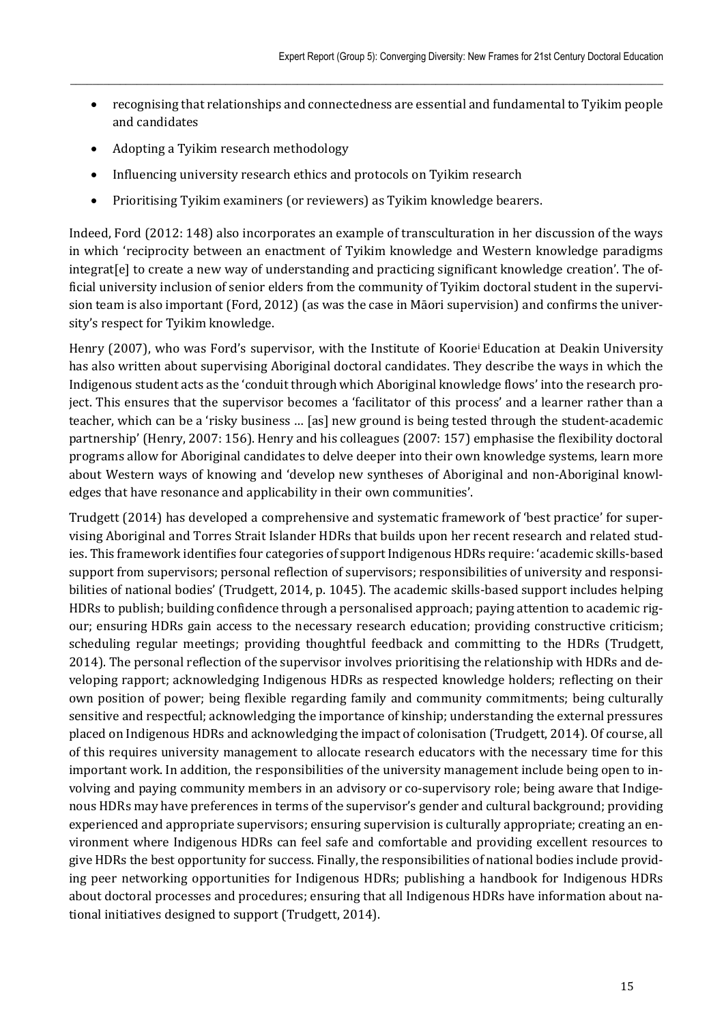recognising that relationships and connectedness are essential and fundamental to Tyikim people and candidates

 $\_$  , and the state of the state of the state of the state of the state of the state of the state of the state of the state of the state of the state of the state of the state of the state of the state of the state of the

- Adopting a Tyikim research methodology
- Influencing university research ethics and protocols on Tyikim research
- Prioritising Tyikim examiners (or reviewers) as Tyikim knowledge bearers.

Indeed, Ford (2012: 148) also incorporates an example of transculturation in her discussion of the ways in which 'reciprocity between an enactment of Tyikim knowledge and Western knowledge paradigms integrat[e] to create a new way of understanding and practicing significant knowledge creation'. The official university inclusion of senior elders from the community of Tyikim doctoral student in the supervision team is also important (Ford, 2012) (as was the case in Māori supervision) and confirms the university's respect for Tyikim knowledge.

Henry (2007), who was Ford's supervisor, with the Institute of Koorie<sup>i</sup> Education at Deakin University has also written about supervising Aboriginal doctoral candidates. They describe the ways in which the Indigenous student acts as the 'conduit through which Aboriginal knowledge flows' into the research project. This ensures that the supervisor becomes a 'facilitator of this process' and a learner rather than a teacher, which can be a 'risky business … [as] new ground is being tested through the student-academic partnership' (Henry, 2007: 156). Henry and his colleagues (2007: 157) emphasise the flexibility doctoral programs allow for Aboriginal candidates to delve deeper into their own knowledge systems, learn more about Western ways of knowing and 'develop new syntheses of Aboriginal and non-Aboriginal knowledges that have resonance and applicability in their own communities'.

Trudgett (2014) has developed a comprehensive and systematic framework of 'best practice' for supervising Aboriginal and Torres Strait Islander HDRs that builds upon her recent research and related studies. This framework identifies four categories of support Indigenous HDRs require: 'academic skills-based support from supervisors; personal reflection of supervisors; responsibilities of university and responsibilities of national bodies' (Trudgett, 2014, p. 1045). The academic skills-based support includes helping HDRs to publish; building confidence through a personalised approach; paying attention to academic rigour; ensuring HDRs gain access to the necessary research education; providing constructive criticism; scheduling regular meetings; providing thoughtful feedback and committing to the HDRs (Trudgett, 2014). The personal reflection of the supervisor involves prioritising the relationship with HDRs and developing rapport; acknowledging Indigenous HDRs as respected knowledge holders; reflecting on their own position of power; being flexible regarding family and community commitments; being culturally sensitive and respectful; acknowledging the importance of kinship; understanding the external pressures placed on Indigenous HDRs and acknowledging the impact of colonisation (Trudgett, 2014). Of course, all of this requires university management to allocate research educators with the necessary time for this important work. In addition, the responsibilities of the university management include being open to involving and paying community members in an advisory or co-supervisory role; being aware that Indigenous HDRs may have preferences in terms of the supervisor's gender and cultural background; providing experienced and appropriate supervisors; ensuring supervision is culturally appropriate; creating an environment where Indigenous HDRs can feel safe and comfortable and providing excellent resources to give HDRs the best opportunity for success. Finally, the responsibilities of national bodies include providing peer networking opportunities for Indigenous HDRs; publishing a handbook for Indigenous HDRs about doctoral processes and procedures; ensuring that all Indigenous HDRs have information about national initiatives designed to support (Trudgett, 2014).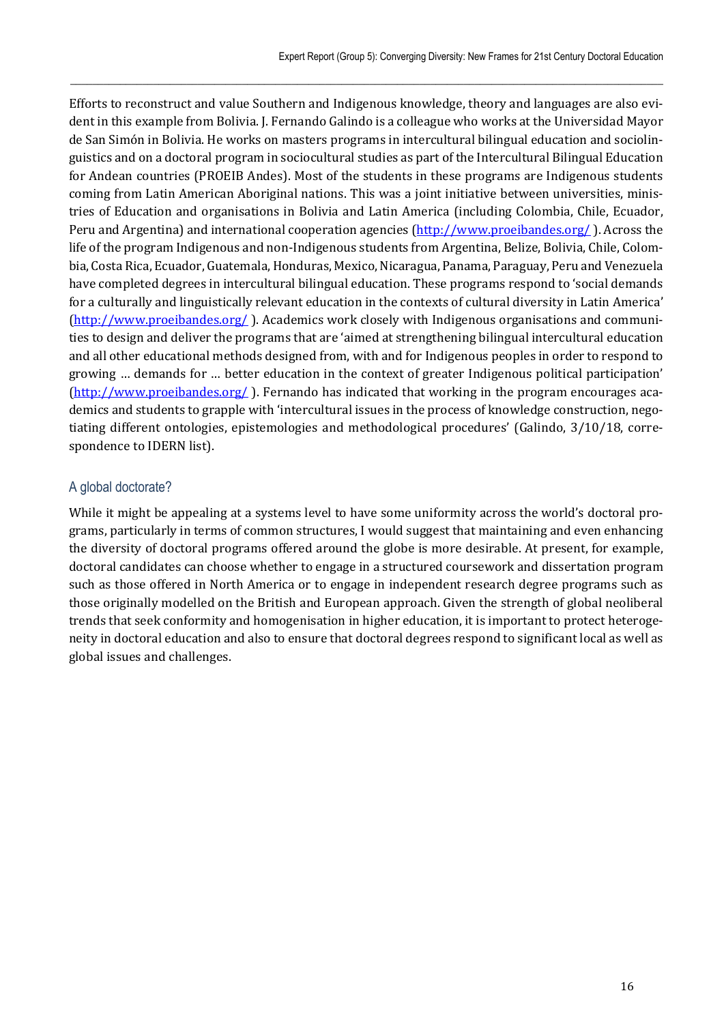Efforts to reconstruct and value Southern and Indigenous knowledge, theory and languages are also evident in this example from Bolivia. J. Fernando Galindo is a colleague who works at the Universidad Mayor de San Simón in Bolivia. He works on masters programs in intercultural bilingual education and sociolinguistics and on a doctoral program in sociocultural studies as part of the Intercultural Bilingual Education for Andean countries (PROEIB Andes). Most of the students in these programs are Indigenous students coming from Latin American Aboriginal nations. This was a joint initiative between universities, ministries of Education and organisations in Bolivia and Latin America (including Colombia, Chile, Ecuador, Peru and Argentina) and international cooperation agencies (http://www.proeibandes.org/). Across the life of the program Indigenous and non-Indigenous students from Argentina, Belize, Bolivia, Chile, Colombia, Costa Rica, Ecuador, Guatemala, Honduras, Mexico, Nicaragua, Panama, Paraguay, Peru and Venezuela have completed degrees in intercultural bilingual education. These programs respond to 'social demands for a culturally and linguistically relevant education in the contexts of cultural diversity in Latin America' (http://www.proeibandes.org/ ). Academics work closely with Indigenous organisations and communities to design and deliver the programs that are 'aimed at strengthening bilingual intercultural education and all other educational methods designed from, with and for Indigenous peoples in order to respond to growing … demands for … better education in the context of greater Indigenous political participation' (http://www.proeibandes.org/ ). Fernando has indicated that working in the program encourages academics and students to grapple with 'intercultural issues in the process of knowledge construction, negotiating different ontologies, epistemologies and methodological procedures' (Galindo, 3/10/18, correspondence to IDERN list).

 $\_$  , and the state of the state of the state of the state of the state of the state of the state of the state of the state of the state of the state of the state of the state of the state of the state of the state of the

# A global doctorate?

While it might be appealing at a systems level to have some uniformity across the world's doctoral programs, particularly in terms of common structures, I would suggest that maintaining and even enhancing the diversity of doctoral programs offered around the globe is more desirable. At present, for example, doctoral candidates can choose whether to engage in a structured coursework and dissertation program such as those offered in North America or to engage in independent research degree programs such as those originally modelled on the British and European approach. Given the strength of global neoliberal trends that seek conformity and homogenisation in higher education, it is important to protect heterogeneity in doctoral education and also to ensure that doctoral degrees respond to significant local as well as global issues and challenges.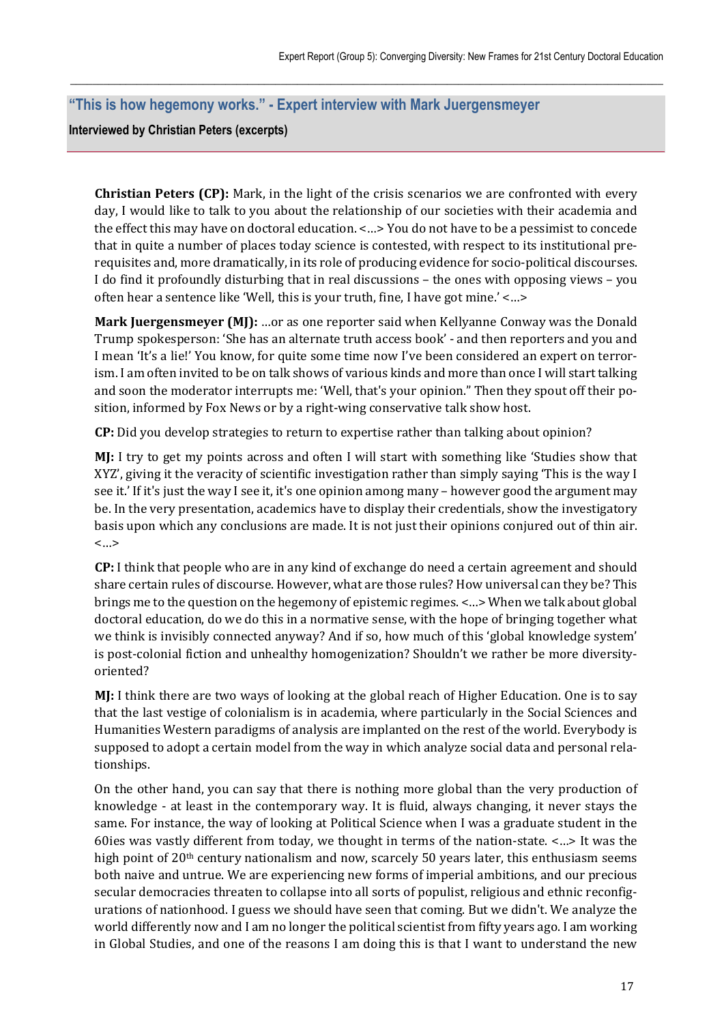# **"This is how hegemony works." - Expert interview with Mark Juergensmeyer**

**Interviewed by Christian Peters (excerpts)** 

**Christian Peters (CP):** Mark, in the light of the crisis scenarios we are confronted with every day, I would like to talk to you about the relationship of our societies with their academia and the effect this may have on doctoral education. <…> You do not have to be a pessimist to concede that in quite a number of places today science is contested, with respect to its institutional prerequisites and, more dramatically, in its role of producing evidence for socio-political discourses. I do find it profoundly disturbing that in real discussions – the ones with opposing views – you often hear a sentence like 'Well, this is your truth, fine, I have got mine.' <…>

 $\_$  , and the state of the state of the state of the state of the state of the state of the state of the state of the state of the state of the state of the state of the state of the state of the state of the state of the

**Mark Juergensmeyer (MJ):** …or as one reporter said when Kellyanne Conway was the Donald Trump spokesperson: 'She has an alternate truth access book' - and then reporters and you and I mean 'It's a lie!' You know, for quite some time now I've been considered an expert on terrorism. I am often invited to be on talk shows of various kinds and more than once I will start talking and soon the moderator interrupts me: 'Well, that's your opinion." Then they spout off their position, informed by Fox News or by a right-wing conservative talk show host.

**CP:** Did you develop strategies to return to expertise rather than talking about opinion?

**MJ:** I try to get my points across and often I will start with something like 'Studies show that XYZ', giving it the veracity of scientific investigation rather than simply saying 'This is the way I see it.' If it's just the way I see it, it's one opinion among many – however good the argument may be. In the very presentation, academics have to display their credentials, show the investigatory basis upon which any conclusions are made. It is not just their opinions conjured out of thin air. <…>

**CP:** I think that people who are in any kind of exchange do need a certain agreement and should share certain rules of discourse. However, what are those rules? How universal can they be? This brings me to the question on the hegemony of epistemic regimes. <…> When we talk about global doctoral education, do we do this in a normative sense, with the hope of bringing together what we think is invisibly connected anyway? And if so, how much of this 'global knowledge system' is post-colonial fiction and unhealthy homogenization? Shouldn't we rather be more diversityoriented?

**MJ:** I think there are two ways of looking at the global reach of Higher Education. One is to say that the last vestige of colonialism is in academia, where particularly in the Social Sciences and Humanities Western paradigms of analysis are implanted on the rest of the world. Everybody is supposed to adopt a certain model from the way in which analyze social data and personal relationships.

On the other hand, you can say that there is nothing more global than the very production of knowledge - at least in the contemporary way. It is fluid, always changing, it never stays the same. For instance, the way of looking at Political Science when I was a graduate student in the 60ies was vastly different from today, we thought in terms of the nation-state. <…> It was the high point of  $20<sup>th</sup>$  century nationalism and now, scarcely 50 years later, this enthusiasm seems both naive and untrue. We are experiencing new forms of imperial ambitions, and our precious secular democracies threaten to collapse into all sorts of populist, religious and ethnic reconfigurations of nationhood. I guess we should have seen that coming. But we didn't. We analyze the world differently now and I am no longer the political scientist from fifty years ago. I am working in Global Studies, and one of the reasons I am doing this is that I want to understand the new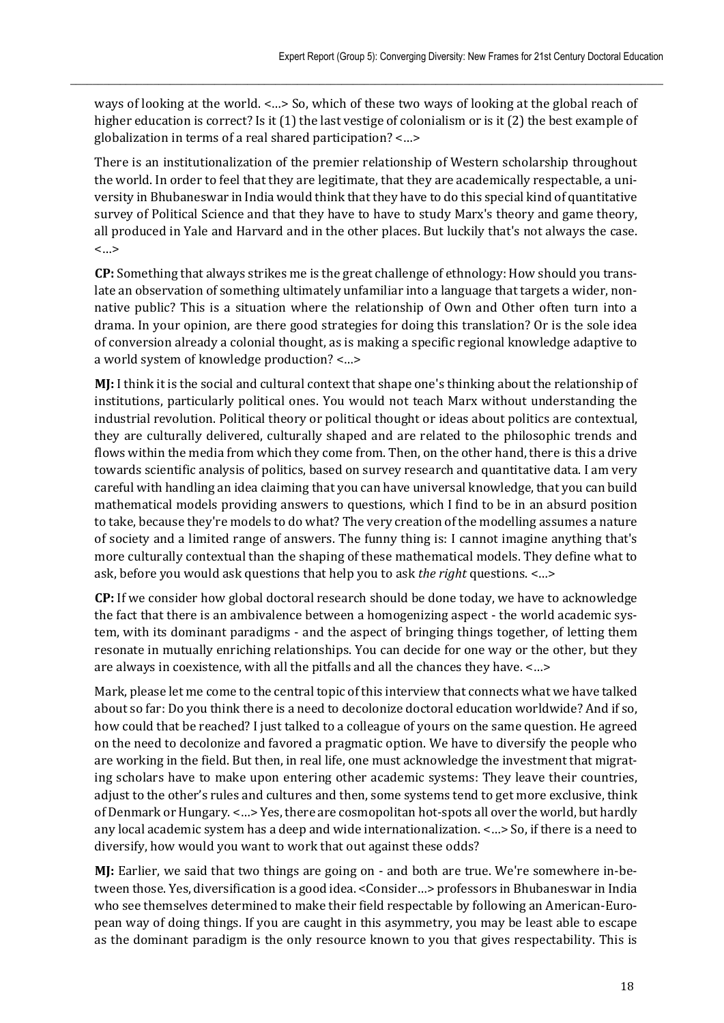ways of looking at the world. <…> So, which of these two ways of looking at the global reach of higher education is correct? Is it (1) the last vestige of colonialism or is it (2) the best example of globalization in terms of a real shared participation? <…>

 $\_$  , and the state of the state of the state of the state of the state of the state of the state of the state of the state of the state of the state of the state of the state of the state of the state of the state of the

There is an institutionalization of the premier relationship of Western scholarship throughout the world. In order to feel that they are legitimate, that they are academically respectable, a university in Bhubaneswar in India would think that they have to do this special kind of quantitative survey of Political Science and that they have to have to study Marx's theory and game theory, all produced in Yale and Harvard and in the other places. But luckily that's not always the case. <…>

**CP:** Something that always strikes me is the great challenge of ethnology: How should you translate an observation of something ultimately unfamiliar into a language that targets a wider, nonnative public? This is a situation where the relationship of Own and Other often turn into a drama. In your opinion, are there good strategies for doing this translation? Or is the sole idea of conversion already a colonial thought, as is making a specific regional knowledge adaptive to a world system of knowledge production? <…>

**MJ:** I think it is the social and cultural context that shape one's thinking about the relationship of institutions, particularly political ones. You would not teach Marx without understanding the industrial revolution. Political theory or political thought or ideas about politics are contextual, they are culturally delivered, culturally shaped and are related to the philosophic trends and flows within the media from which they come from. Then, on the other hand, there is this a drive towards scientific analysis of politics, based on survey research and quantitative data. I am very careful with handling an idea claiming that you can have universal knowledge, that you can build mathematical models providing answers to questions, which I find to be in an absurd position to take, because they're models to do what? The very creation of the modelling assumes a nature of society and a limited range of answers. The funny thing is: I cannot imagine anything that's more culturally contextual than the shaping of these mathematical models. They define what to ask, before you would ask questions that help you to ask *the right* questions. <…>

**CP:** If we consider how global doctoral research should be done today, we have to acknowledge the fact that there is an ambivalence between a homogenizing aspect - the world academic system, with its dominant paradigms - and the aspect of bringing things together, of letting them resonate in mutually enriching relationships. You can decide for one way or the other, but they are always in coexistence, with all the pitfalls and all the chances they have. <…>

Mark, please let me come to the central topic of this interview that connects what we have talked about so far: Do you think there is a need to decolonize doctoral education worldwide? And if so, how could that be reached? I just talked to a colleague of yours on the same question. He agreed on the need to decolonize and favored a pragmatic option. We have to diversify the people who are working in the field. But then, in real life, one must acknowledge the investment that migrating scholars have to make upon entering other academic systems: They leave their countries, adjust to the other's rules and cultures and then, some systems tend to get more exclusive, think of Denmark or Hungary. <…> Yes, there are cosmopolitan hot-spots all over the world, but hardly any local academic system has a deep and wide internationalization. <…> So, if there is a need to diversify, how would you want to work that out against these odds?

**MJ:** Earlier, we said that two things are going on - and both are true. We're somewhere in-between those. Yes, diversification is a good idea. <Consider…> professors in Bhubaneswar in India who see themselves determined to make their field respectable by following an American-European way of doing things. If you are caught in this asymmetry, you may be least able to escape as the dominant paradigm is the only resource known to you that gives respectability. This is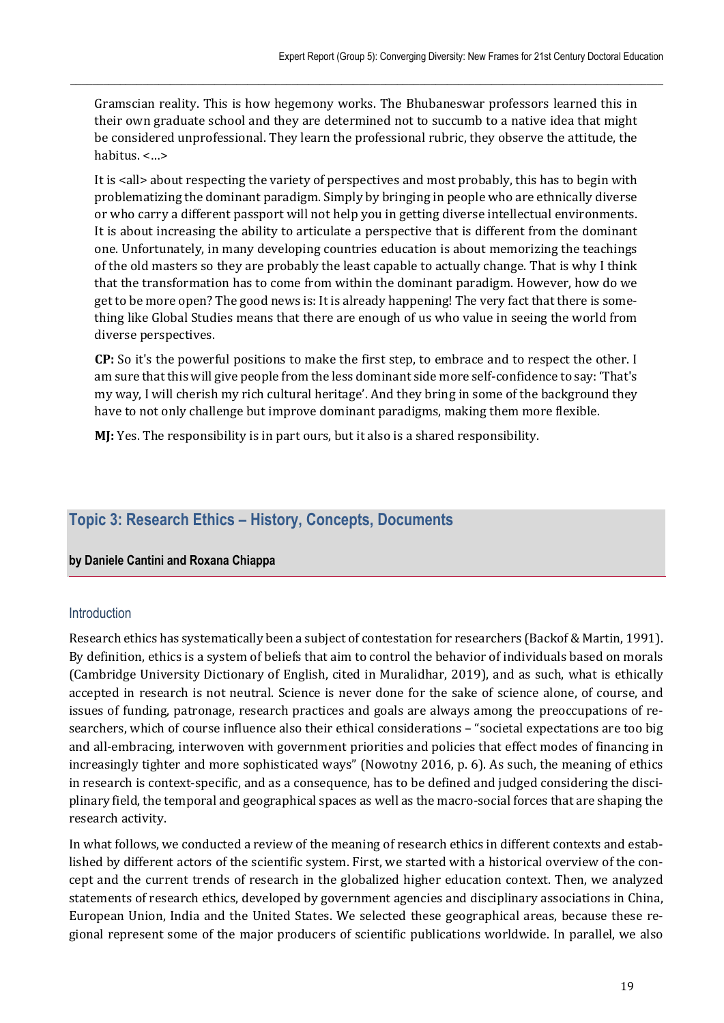Gramscian reality. This is how hegemony works. The Bhubaneswar professors learned this in their own graduate school and they are determined not to succumb to a native idea that might be considered unprofessional. They learn the professional rubric, they observe the attitude, the habitus. <…>

 $\_$  , and the state of the state of the state of the state of the state of the state of the state of the state of the state of the state of the state of the state of the state of the state of the state of the state of the

It is <all> about respecting the variety of perspectives and most probably, this has to begin with problematizing the dominant paradigm. Simply by bringing in people who are ethnically diverse or who carry a different passport will not help you in getting diverse intellectual environments. It is about increasing the ability to articulate a perspective that is different from the dominant one. Unfortunately, in many developing countries education is about memorizing the teachings of the old masters so they are probably the least capable to actually change. That is why I think that the transformation has to come from within the dominant paradigm. However, how do we get to be more open? The good news is: It is already happening! The very fact that there is something like Global Studies means that there are enough of us who value in seeing the world from diverse perspectives.

**CP:** So it's the powerful positions to make the first step, to embrace and to respect the other. I am sure that this will give people from the less dominant side more self-confidence to say: 'That's my way, I will cherish my rich cultural heritage'. And they bring in some of the background they have to not only challenge but improve dominant paradigms, making them more flexible.

**MJ:** Yes. The responsibility is in part ours, but it also is a shared responsibility.

# **Topic 3: Research Ethics – History, Concepts, Documents**

#### **by Daniele Cantini and Roxana Chiappa**

#### **Introduction**

Research ethics has systematically been a subject of contestation for researchers (Backof & Martin, 1991). By definition, ethics is a system of beliefs that aim to control the behavior of individuals based on morals (Cambridge University Dictionary of English, cited in Muralidhar, 2019), and as such, what is ethically accepted in research is not neutral. Science is never done for the sake of science alone, of course, and issues of funding, patronage, research practices and goals are always among the preoccupations of researchers, which of course influence also their ethical considerations – "societal expectations are too big and all-embracing, interwoven with government priorities and policies that effect modes of financing in increasingly tighter and more sophisticated ways" (Nowotny 2016, p. 6). As such, the meaning of ethics in research is context-specific, and as a consequence, has to be defined and judged considering the disciplinary field, the temporal and geographical spaces as well as the macro-social forces that are shaping the research activity.

In what follows, we conducted a review of the meaning of research ethics in different contexts and established by different actors of the scientific system. First, we started with a historical overview of the concept and the current trends of research in the globalized higher education context. Then, we analyzed statements of research ethics, developed by government agencies and disciplinary associations in China, European Union, India and the United States. We selected these geographical areas, because these regional represent some of the major producers of scientific publications worldwide. In parallel, we also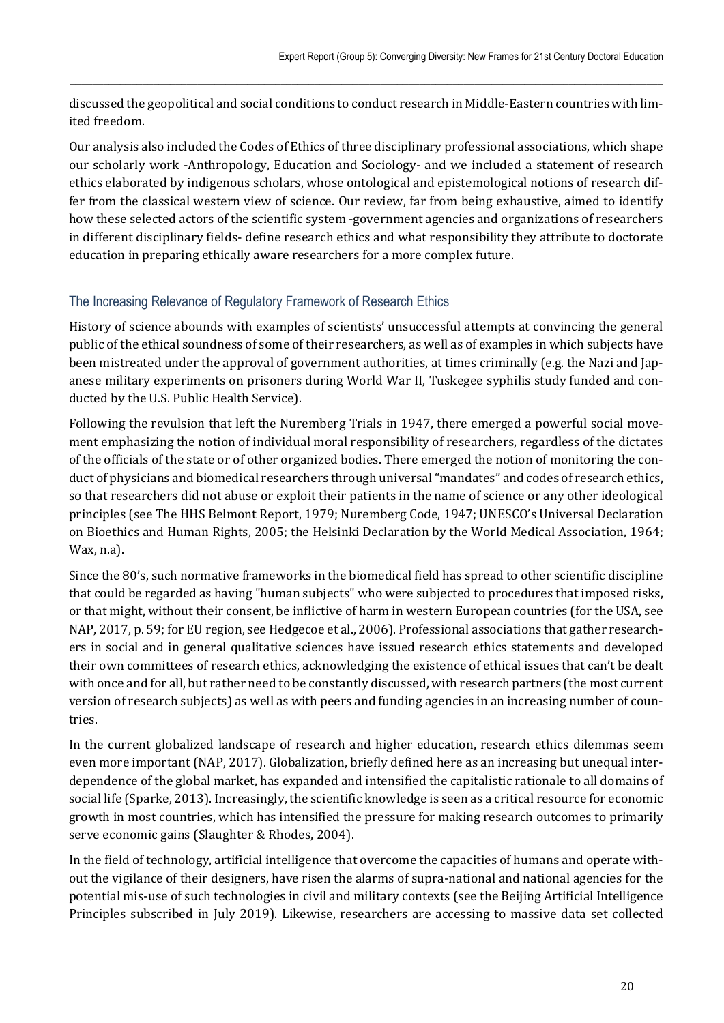discussed the geopolitical and social conditions to conduct research in Middle-Eastern countries with limited freedom.

 $\_$  , and the state of the state of the state of the state of the state of the state of the state of the state of the state of the state of the state of the state of the state of the state of the state of the state of the

Our analysis also included the Codes of Ethics of three disciplinary professional associations, which shape our scholarly work -Anthropology, Education and Sociology- and we included a statement of research ethics elaborated by indigenous scholars, whose ontological and epistemological notions of research differ from the classical western view of science. Our review, far from being exhaustive, aimed to identify how these selected actors of the scientific system -government agencies and organizations of researchers in different disciplinary fields- define research ethics and what responsibility they attribute to doctorate education in preparing ethically aware researchers for a more complex future.

# The Increasing Relevance of Regulatory Framework of Research Ethics

History of science abounds with examples of scientists' unsuccessful attempts at convincing the general public of the ethical soundness of some of their researchers, as well as of examples in which subjects have been mistreated under the approval of government authorities, at times criminally (e.g. the Nazi and Japanese military experiments on prisoners during World War II, Tuskegee syphilis study funded and conducted by the U.S. Public Health Service).

Following the revulsion that left the Nuremberg Trials in 1947, there emerged a powerful social movement emphasizing the notion of individual moral responsibility of researchers, regardless of the dictates of the officials of the state or of other organized bodies. There emerged the notion of monitoring the conduct of physicians and biomedical researchers through universal "mandates" and codes of research ethics, so that researchers did not abuse or exploit their patients in the name of science or any other ideological principles (see The HHS Belmont Report, 1979; Nuremberg Code, 1947; UNESCO's Universal Declaration on Bioethics and Human Rights, 2005; the Helsinki Declaration by the World Medical Association, 1964; Wax, n.a).

Since the 80's, such normative frameworks in the biomedical field has spread to other scientific discipline that could be regarded as having "human subjects" who were subjected to procedures that imposed risks, or that might, without their consent, be inflictive of harm in western European countries (for the USA, see NAP, 2017, p. 59; for EU region, see Hedgecoe et al., 2006). Professional associations that gather researchers in social and in general qualitative sciences have issued research ethics statements and developed their own committees of research ethics, acknowledging the existence of ethical issues that can't be dealt with once and for all, but rather need to be constantly discussed, with research partners (the most current version of research subjects) as well as with peers and funding agencies in an increasing number of countries.

In the current globalized landscape of research and higher education, research ethics dilemmas seem even more important (NAP, 2017). Globalization, briefly defined here as an increasing but unequal interdependence of the global market, has expanded and intensified the capitalistic rationale to all domains of social life (Sparke, 2013). Increasingly, the scientific knowledge is seen as a critical resource for economic growth in most countries, which has intensified the pressure for making research outcomes to primarily serve economic gains (Slaughter & Rhodes, 2004).

In the field of technology, artificial intelligence that overcome the capacities of humans and operate without the vigilance of their designers, have risen the alarms of supra-national and national agencies for the potential mis-use of such technologies in civil and military contexts (see the Beijing Artificial Intelligence Principles subscribed in July 2019). Likewise, researchers are accessing to massive data set collected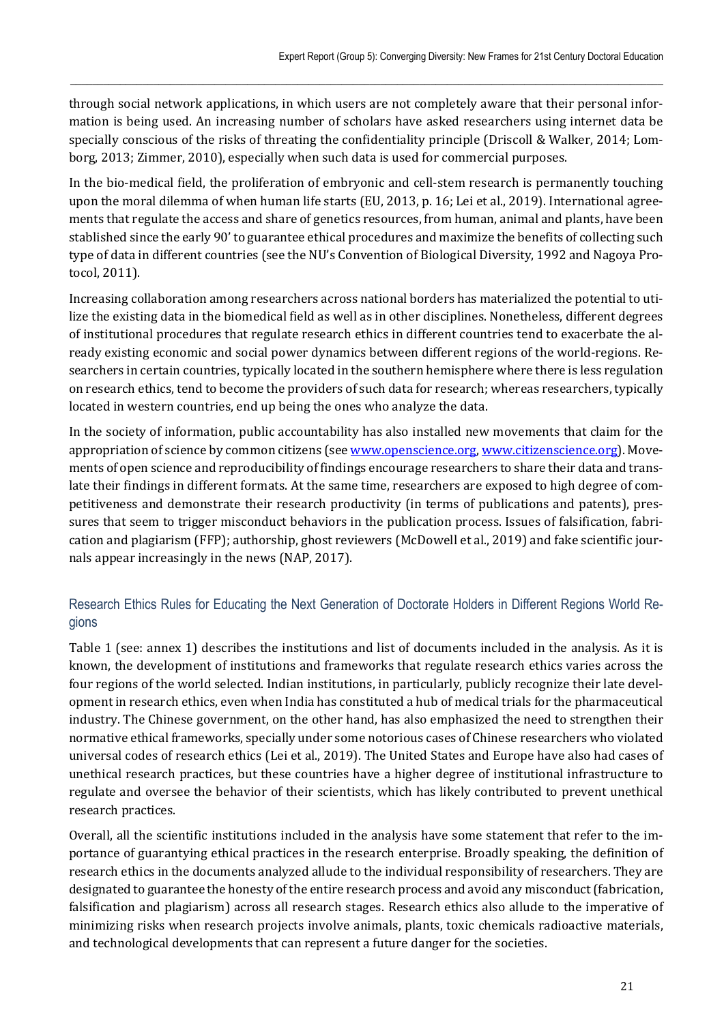through social network applications, in which users are not completely aware that their personal information is being used. An increasing number of scholars have asked researchers using internet data be specially conscious of the risks of threating the confidentiality principle (Driscoll & Walker, 2014; Lomborg, 2013; Zimmer, 2010), especially when such data is used for commercial purposes.

 $\_$  , and the state of the state of the state of the state of the state of the state of the state of the state of the state of the state of the state of the state of the state of the state of the state of the state of the

In the bio-medical field, the proliferation of embryonic and cell-stem research is permanently touching upon the moral dilemma of when human life starts (EU, 2013, p. 16; Lei et al., 2019). International agreements that regulate the access and share of genetics resources, from human, animal and plants, have been stablished since the early 90' to guarantee ethical procedures and maximize the benefits of collecting such type of data in different countries (see the NU's Convention of Biological Diversity, 1992 and Nagoya Protocol, 2011).

Increasing collaboration among researchers across national borders has materialized the potential to utilize the existing data in the biomedical field as well as in other disciplines. Nonetheless, different degrees of institutional procedures that regulate research ethics in different countries tend to exacerbate the already existing economic and social power dynamics between different regions of the world-regions. Researchers in certain countries, typically located in the southern hemisphere where there is less regulation on research ethics, tend to become the providers of such data for research; whereas researchers, typically located in western countries, end up being the ones who analyze the data.

In the society of information, public accountability has also installed new movements that claim for the appropriation of science by common citizens (see www.openscience.org, www.citizenscience.org). Movements of open science and reproducibility of findings encourage researchers to share their data and translate their findings in different formats. At the same time, researchers are exposed to high degree of competitiveness and demonstrate their research productivity (in terms of publications and patents), pressures that seem to trigger misconduct behaviors in the publication process. Issues of falsification, fabrication and plagiarism (FFP); authorship, ghost reviewers (McDowell et al., 2019) and fake scientific journals appear increasingly in the news (NAP, 2017).

# Research Ethics Rules for Educating the Next Generation of Doctorate Holders in Different Regions World Regions

Table 1 (see: annex 1) describes the institutions and list of documents included in the analysis. As it is known, the development of institutions and frameworks that regulate research ethics varies across the four regions of the world selected. Indian institutions, in particularly, publicly recognize their late development in research ethics, even when India has constituted a hub of medical trials for the pharmaceutical industry. The Chinese government, on the other hand, has also emphasized the need to strengthen their normative ethical frameworks, specially under some notorious cases of Chinese researchers who violated universal codes of research ethics (Lei et al., 2019). The United States and Europe have also had cases of unethical research practices, but these countries have a higher degree of institutional infrastructure to regulate and oversee the behavior of their scientists, which has likely contributed to prevent unethical research practices.

Overall, all the scientific institutions included in the analysis have some statement that refer to the importance of guarantying ethical practices in the research enterprise. Broadly speaking, the definition of research ethics in the documents analyzed allude to the individual responsibility of researchers. They are designated to guarantee the honesty of the entire research process and avoid any misconduct (fabrication, falsification and plagiarism) across all research stages. Research ethics also allude to the imperative of minimizing risks when research projects involve animals, plants, toxic chemicals radioactive materials, and technological developments that can represent a future danger for the societies.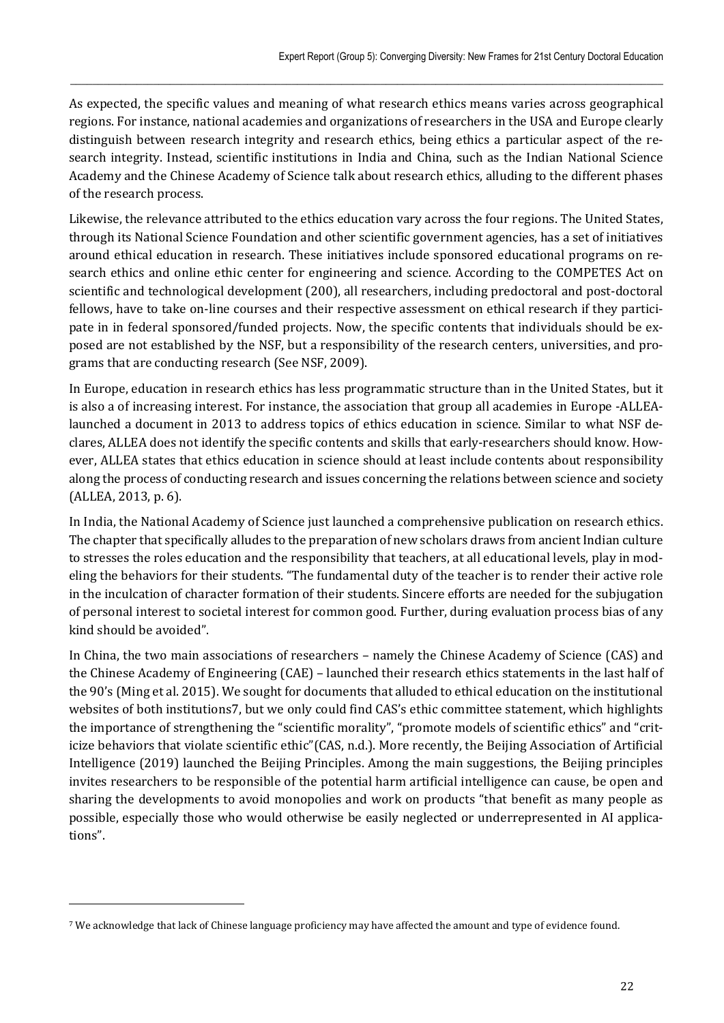As expected, the specific values and meaning of what research ethics means varies across geographical regions. For instance, national academies and organizations of researchers in the USA and Europe clearly distinguish between research integrity and research ethics, being ethics a particular aspect of the research integrity. Instead, scientific institutions in India and China, such as the Indian National Science Academy and the Chinese Academy of Science talk about research ethics, alluding to the different phases of the research process.

 $\_$  , and the state of the state of the state of the state of the state of the state of the state of the state of the state of the state of the state of the state of the state of the state of the state of the state of the

Likewise, the relevance attributed to the ethics education vary across the four regions. The United States, through its National Science Foundation and other scientific government agencies, has a set of initiatives around ethical education in research. These initiatives include sponsored educational programs on research ethics and online ethic center for engineering and science. According to the COMPETES Act on scientific and technological development (200), all researchers, including predoctoral and post-doctoral fellows, have to take on-line courses and their respective assessment on ethical research if they participate in in federal sponsored/funded projects. Now, the specific contents that individuals should be exposed are not established by the NSF, but a responsibility of the research centers, universities, and programs that are conducting research (See NSF, 2009).

In Europe, education in research ethics has less programmatic structure than in the United States, but it is also a of increasing interest. For instance, the association that group all academies in Europe -ALLEAlaunched a document in 2013 to address topics of ethics education in science. Similar to what NSF declares, ALLEA does not identify the specific contents and skills that early-researchers should know. However, ALLEA states that ethics education in science should at least include contents about responsibility along the process of conducting research and issues concerning the relations between science and society (ALLEA, 2013, p. 6).

In India, the National Academy of Science just launched a comprehensive publication on research ethics. The chapter that specifically alludes to the preparation of new scholars draws from ancient Indian culture to stresses the roles education and the responsibility that teachers, at all educational levels, play in modeling the behaviors for their students. "The fundamental duty of the teacher is to render their active role in the inculcation of character formation of their students. Sincere efforts are needed for the subjugation of personal interest to societal interest for common good. Further, during evaluation process bias of any kind should be avoided".

In China, the two main associations of researchers – namely the Chinese Academy of Science (CAS) and the Chinese Academy of Engineering (CAE) – launched their research ethics statements in the last half of the 90's (Ming et al. 2015). We sought for documents that alluded to ethical education on the institutional websites of both institutions7, but we only could find CAS's ethic committee statement, which highlights the importance of strengthening the "scientific morality", "promote models of scientific ethics" and "criticize behaviors that violate scientific ethic"(CAS, n.d.). More recently, the Beijing Association of Artificial Intelligence (2019) launched the Beijing Principles. Among the main suggestions, the Beijing principles invites researchers to be responsible of the potential harm artificial intelligence can cause, be open and sharing the developments to avoid monopolies and work on products "that benefit as many people as possible, especially those who would otherwise be easily neglected or underrepresented in AI applications".

 $\overline{a}$ 

<sup>7</sup> We acknowledge that lack of Chinese language proficiency may have affected the amount and type of evidence found.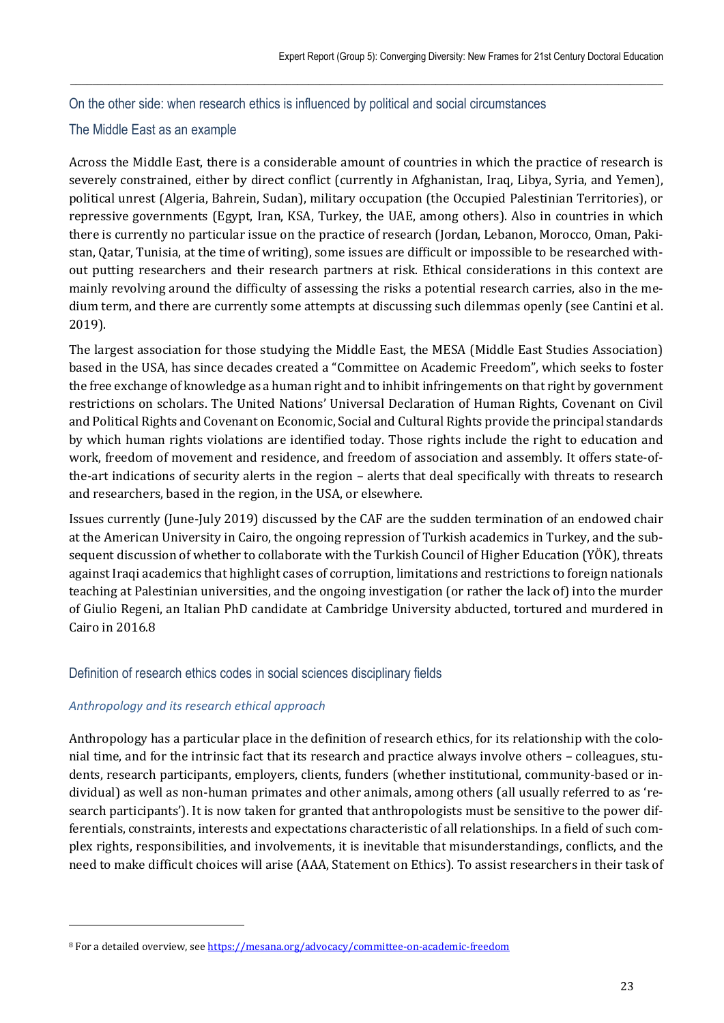On the other side: when research ethics is influenced by political and social circumstances

# The Middle East as an example

Across the Middle East, there is a considerable amount of countries in which the practice of research is severely constrained, either by direct conflict (currently in Afghanistan, Iraq, Libya, Syria, and Yemen), political unrest (Algeria, Bahrein, Sudan), military occupation (the Occupied Palestinian Territories), or repressive governments (Egypt, Iran, KSA, Turkey, the UAE, among others). Also in countries in which there is currently no particular issue on the practice of research (Jordan, Lebanon, Morocco, Oman, Pakistan, Qatar, Tunisia, at the time of writing), some issues are difficult or impossible to be researched without putting researchers and their research partners at risk. Ethical considerations in this context are mainly revolving around the difficulty of assessing the risks a potential research carries, also in the medium term, and there are currently some attempts at discussing such dilemmas openly (see Cantini et al. 2019).

 $\_$  , and the state of the state of the state of the state of the state of the state of the state of the state of the state of the state of the state of the state of the state of the state of the state of the state of the

The largest association for those studying the Middle East, the MESA (Middle East Studies Association) based in the USA, has since decades created a "Committee on Academic Freedom", which seeks to foster the free exchange of knowledge as a human right and to inhibit infringements on that right by government restrictions on scholars. The United Nations' Universal Declaration of Human Rights, Covenant on Civil and Political Rights and Covenant on Economic, Social and Cultural Rights provide the principal standards by which human rights violations are identified today. Those rights include the right to education and work, freedom of movement and residence, and freedom of association and assembly. It offers state-ofthe-art indications of security alerts in the region – alerts that deal specifically with threats to research and researchers, based in the region, in the USA, or elsewhere.

Issues currently (June-July 2019) discussed by the CAF are the sudden termination of an endowed chair at the American University in Cairo, the ongoing repression of Turkish academics in Turkey, and the subsequent discussion of whether to collaborate with the Turkish Council of Higher Education (YÖK), threats against Iraqi academics that highlight cases of corruption, limitations and restrictions to foreign nationals teaching at Palestinian universities, and the ongoing investigation (or rather the lack of) into the murder of Giulio Regeni, an Italian PhD candidate at Cambridge University abducted, tortured and murdered in Cairo in 2016.8

# Definition of research ethics codes in social sciences disciplinary fields

### *Anthropology and its research ethical approach*

l

Anthropology has a particular place in the definition of research ethics, for its relationship with the colonial time, and for the intrinsic fact that its research and practice always involve others – colleagues, students, research participants, employers, clients, funders (whether institutional, community-based or individual) as well as non-human primates and other animals, among others (all usually referred to as 'research participants'). It is now taken for granted that anthropologists must be sensitive to the power differentials, constraints, interests and expectations characteristic of all relationships. In a field of such complex rights, responsibilities, and involvements, it is inevitable that misunderstandings, conflicts, and the need to make difficult choices will arise (AAA, Statement on Ethics). To assist researchers in their task of

<sup>8</sup> For a detailed overview, see https://mesana.org/advocacy/committee-on-academic-freedom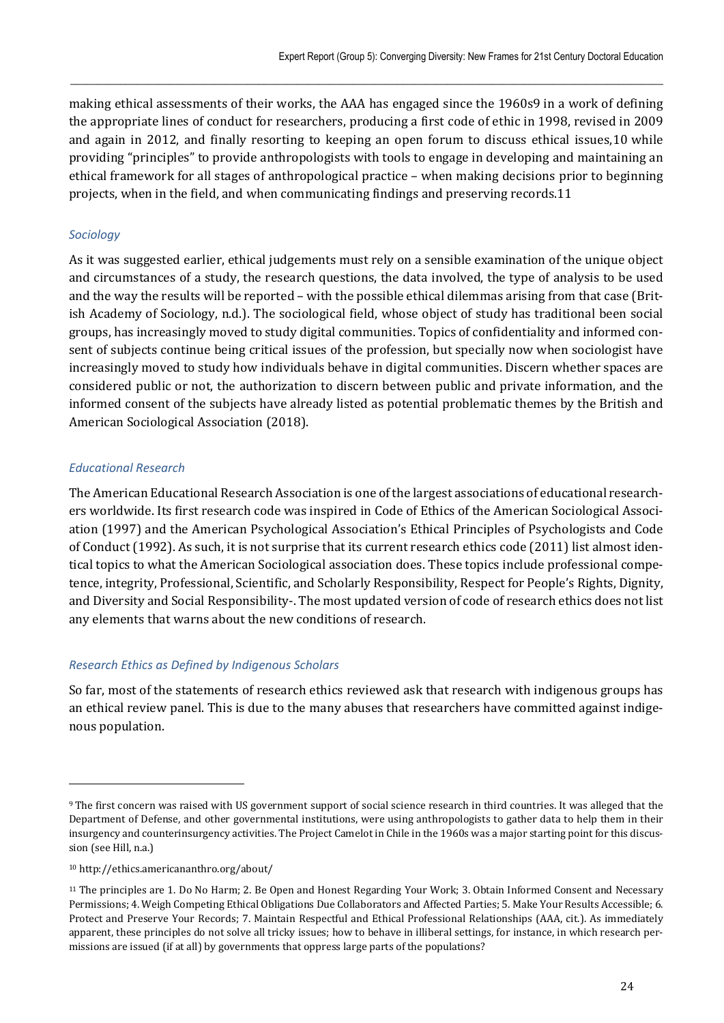making ethical assessments of their works, the AAA has engaged since the 1960s9 in a work of defining the appropriate lines of conduct for researchers, producing a first code of ethic in 1998, revised in 2009 and again in 2012, and finally resorting to keeping an open forum to discuss ethical issues,10 while providing "principles" to provide anthropologists with tools to engage in developing and maintaining an ethical framework for all stages of anthropological practice – when making decisions prior to beginning projects, when in the field, and when communicating findings and preserving records.11

 $\_$  , and the state of the state of the state of the state of the state of the state of the state of the state of the state of the state of the state of the state of the state of the state of the state of the state of the

### *Sociology*

As it was suggested earlier, ethical judgements must rely on a sensible examination of the unique object and circumstances of a study, the research questions, the data involved, the type of analysis to be used and the way the results will be reported – with the possible ethical dilemmas arising from that case (British Academy of Sociology, n.d.). The sociological field, whose object of study has traditional been social groups, has increasingly moved to study digital communities. Topics of confidentiality and informed consent of subjects continue being critical issues of the profession, but specially now when sociologist have increasingly moved to study how individuals behave in digital communities. Discern whether spaces are considered public or not, the authorization to discern between public and private information, and the informed consent of the subjects have already listed as potential problematic themes by the British and American Sociological Association (2018).

### *Educational Research*

The American Educational Research Association is one of the largest associations of educational researchers worldwide. Its first research code was inspired in Code of Ethics of the American Sociological Association (1997) and the American Psychological Association's Ethical Principles of Psychologists and Code of Conduct (1992). As such, it is not surprise that its current research ethics code (2011) list almost identical topics to what the American Sociological association does. These topics include professional competence, integrity, Professional, Scientific, and Scholarly Responsibility, Respect for People's Rights, Dignity, and Diversity and Social Responsibility-. The most updated version of code of research ethics does not list any elements that warns about the new conditions of research.

# *Research Ethics as Defined by Indigenous Scholars*

So far, most of the statements of research ethics reviewed ask that research with indigenous groups has an ethical review panel. This is due to the many abuses that researchers have committed against indigenous population.

<sup>9</sup> The first concern was raised with US government support of social science research in third countries. It was alleged that the Department of Defense, and other governmental institutions, were using anthropologists to gather data to help them in their insurgency and counterinsurgency activities. The Project Camelot in Chile in the 1960s was a major starting point for this discussion (see Hill, n.a.)

<sup>10</sup> http://ethics.americananthro.org/about/

<sup>11</sup> The principles are 1. Do No Harm; 2. Be Open and Honest Regarding Your Work; 3. Obtain Informed Consent and Necessary Permissions; 4. Weigh Competing Ethical Obligations Due Collaborators and Affected Parties; 5. Make Your Results Accessible; 6. Protect and Preserve Your Records; 7. Maintain Respectful and Ethical Professional Relationships (AAA, cit.). As immediately apparent, these principles do not solve all tricky issues; how to behave in illiberal settings, for instance, in which research permissions are issued (if at all) by governments that oppress large parts of the populations?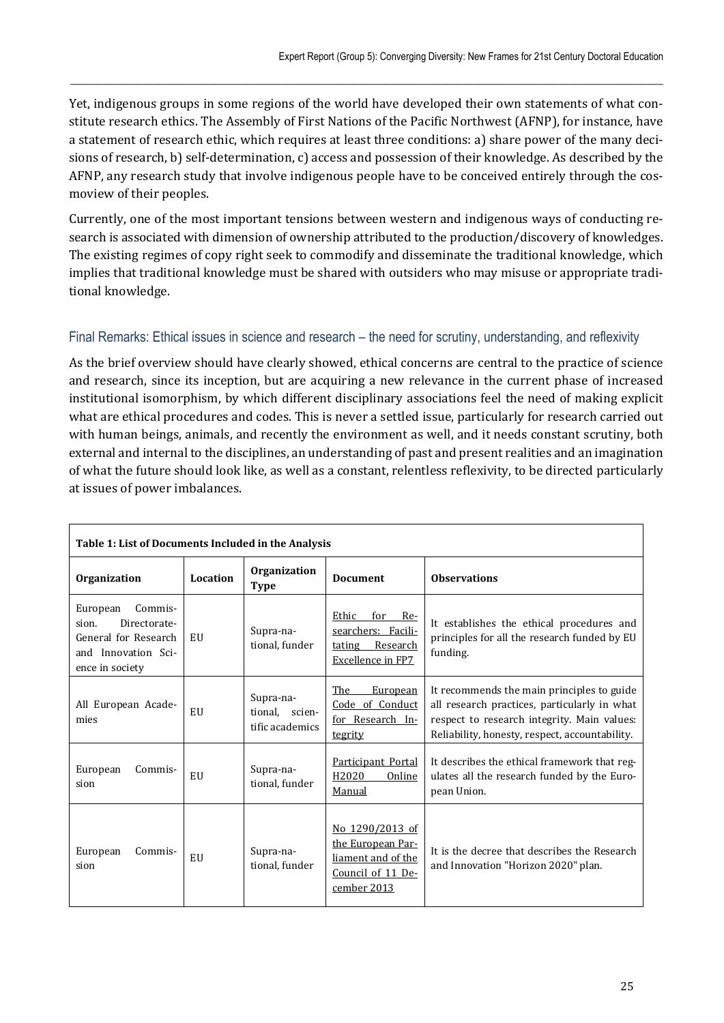Yet, indigenous groups in some regions of the world have developed their own statements of what constitute research ethics. The Assembly of First Nations of the Pacific Northwest (AFNP), for instance, have a statement of research ethic, which requires at least three conditions: a) share power of the many decisions of research, b) self-determination, c) access and possession of their knowledge. As described by the AFNP, any research study that involve indigenous people have to be conceived entirely through the cosmoview of their peoples.

 $\_$  , and the state of the state of the state of the state of the state of the state of the state of the state of the state of the state of the state of the state of the state of the state of the state of the state of the

Currently, one of the most important tensions between western and indigenous ways of conducting research is associated with dimension of ownership attributed to the production/discovery of knowledges. The existing regimes of copy right seek to commodify and disseminate the traditional knowledge, which implies that traditional knowledge must be shared with outsiders who may misuse or appropriate traditional knowledge.

### Final Remarks: Ethical issues in science and research – the need for scrutiny, understanding, and reflexivity

As the brief overview should have clearly showed, ethical concerns are central to the practice of science and research, since its inception, but are acquiring a new relevance in the current phase of increased institutional isomorphism, by which different disciplinary associations feel the need of making explicit what are ethical procedures and codes. This is never a settled issue, particularly for research carried out with human beings, animals, and recently the environment as well, and it needs constant scrutiny, both external and internal to the disciplines, an understanding of past and present realities and an imagination of what the future should look like, as well as a constant, relentless reflexivity, to be directed particularly at issues of power imbalances.

| Table 1: List of Documents Included in the Analysis                                                            |          |                                                |                                                                                                |                                                                                                                                                                                             |  |  |
|----------------------------------------------------------------------------------------------------------------|----------|------------------------------------------------|------------------------------------------------------------------------------------------------|---------------------------------------------------------------------------------------------------------------------------------------------------------------------------------------------|--|--|
| Organization                                                                                                   | Location | Organization<br><b>Type</b>                    | <b>Document</b>                                                                                | <b>Observations</b>                                                                                                                                                                         |  |  |
| Commis-<br>European<br>Directorate-<br>sion.<br>General for Research<br>and Innovation Sci-<br>ence in society | EU       | Supra-na-<br>tional, funder                    | Ethic<br>for Re-<br>searchers: Facili-<br>tating Research<br>Excellence in FP7                 | It establishes the ethical procedures and<br>principles for all the research funded by EU<br>funding.                                                                                       |  |  |
| All European Acade-<br>mies                                                                                    | EU       | Supra-na-<br>tional, scien-<br>tific academics | The<br>European<br>Code of Conduct<br>for Research In-<br>tegrity                              | It recommends the main principles to guide<br>all research practices, particularly in what<br>respect to research integrity. Main values:<br>Reliability, honesty, respect, accountability. |  |  |
| European<br>Commis-<br>sion                                                                                    | EU       | Supra-na-<br>tional, funder                    | Participant Portal<br>H2020<br>Online<br>Manual                                                | It describes the ethical framework that reg-<br>ulates all the research funded by the Euro-<br>pean Union.                                                                                  |  |  |
| European<br>Commis-<br>sion                                                                                    | EU       | Supra-na-<br>tional, funder                    | No 1290/2013 of<br>the European Par-<br>liament and of the<br>Council of 11 De-<br>cember 2013 | It is the decree that describes the Research<br>and Innovation "Horizon 2020" plan.                                                                                                         |  |  |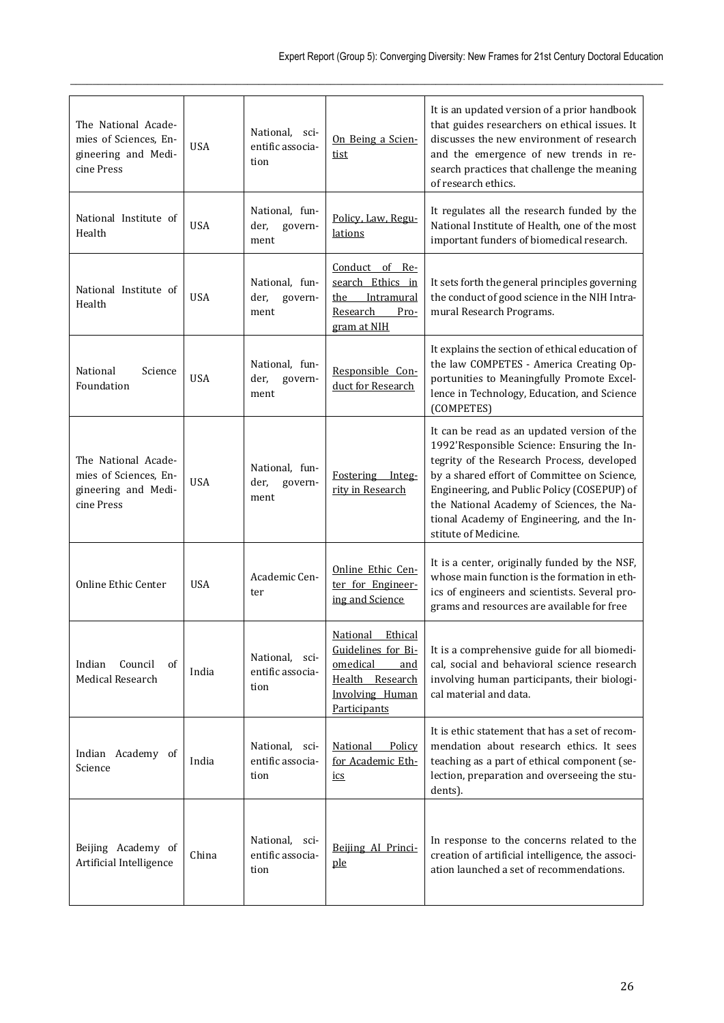| The National Acade-<br>mies of Sciences, En-<br>gineering and Medi-<br>cine Press | <b>USA</b> | National, sci-<br>entific associa-<br>tion | On Being a Scien-<br><u>tist</u>                                                                                          | It is an updated version of a prior handbook<br>that guides researchers on ethical issues. It<br>discusses the new environment of research<br>and the emergence of new trends in re-<br>search practices that challenge the meaning<br>of research ethics.                                                                                               |
|-----------------------------------------------------------------------------------|------------|--------------------------------------------|---------------------------------------------------------------------------------------------------------------------------|----------------------------------------------------------------------------------------------------------------------------------------------------------------------------------------------------------------------------------------------------------------------------------------------------------------------------------------------------------|
| National Institute of<br>Health                                                   | <b>USA</b> | National, fun-<br>govern-<br>der,<br>ment  | Policy, Law, Regu-<br>lations                                                                                             | It regulates all the research funded by the<br>National Institute of Health, one of the most<br>important funders of biomedical research.                                                                                                                                                                                                                |
| National Institute of<br>Health                                                   | <b>USA</b> | National, fun-<br>govern-<br>der,<br>ment  | Conduct of Re-<br>search Ethics in<br>the Intramural<br>Research<br>Pro-<br>gram at NIH                                   | It sets forth the general principles governing<br>the conduct of good science in the NIH Intra-<br>mural Research Programs.                                                                                                                                                                                                                              |
| National<br>Science<br>Foundation                                                 | <b>USA</b> | National, fun-<br>der,<br>govern-<br>ment  | Responsible Con-<br>duct for Research                                                                                     | It explains the section of ethical education of<br>the law COMPETES - America Creating Op-<br>portunities to Meaningfully Promote Excel-<br>lence in Technology, Education, and Science<br>(COMPETES)                                                                                                                                                    |
| The National Acade-<br>mies of Sciences, En-<br>gineering and Medi-<br>cine Press | <b>USA</b> | National, fun-<br>der,<br>govern-<br>ment  | Fostering Integ-<br>rity in Research                                                                                      | It can be read as an updated version of the<br>1992'Responsible Science: Ensuring the In-<br>tegrity of the Research Process, developed<br>by a shared effort of Committee on Science,<br>Engineering, and Public Policy (COSEPUP) of<br>the National Academy of Sciences, the Na-<br>tional Academy of Engineering, and the In-<br>stitute of Medicine. |
| Online Ethic Center                                                               | <b>USA</b> | Academic Cen-<br>ter                       | Online Ethic Cen-<br>ter for Engineer-<br>ing and Science                                                                 | It is a center, originally funded by the NSF,<br>whose main function is the formation in eth-<br>ics of engineers and scientists. Several pro-<br>grams and resources are available for free                                                                                                                                                             |
| Council<br>Indian<br>οf<br>Medical Research                                       | India      | National, sci-<br>entific associa-<br>tion | National<br>Ethical<br>Guidelines for Bi-<br>omedical<br>and<br>Health Research<br><b>Involving Human</b><br>Participants | It is a comprehensive guide for all biomedi-<br>cal, social and behavioral science research<br>involving human participants, their biologi-<br>cal material and data.                                                                                                                                                                                    |
| Indian Academy of<br>Science                                                      | India      | National, sci-<br>entific associa-<br>tion | Policy<br>National<br>for Academic Eth-<br>ics                                                                            | It is ethic statement that has a set of recom-<br>mendation about research ethics. It sees<br>teaching as a part of ethical component (se-<br>lection, preparation and overseeing the stu-<br>dents).                                                                                                                                                    |
| Beijing Academy of<br>Artificial Intelligence                                     | China      | National, sci-<br>entific associa-<br>tion | Beijing AI Princi-<br>ple                                                                                                 | In response to the concerns related to the<br>creation of artificial intelligence, the associ-<br>ation launched a set of recommendations.                                                                                                                                                                                                               |

 $\_$  , and the state of the state of the state of the state of the state of the state of the state of the state of the state of the state of the state of the state of the state of the state of the state of the state of the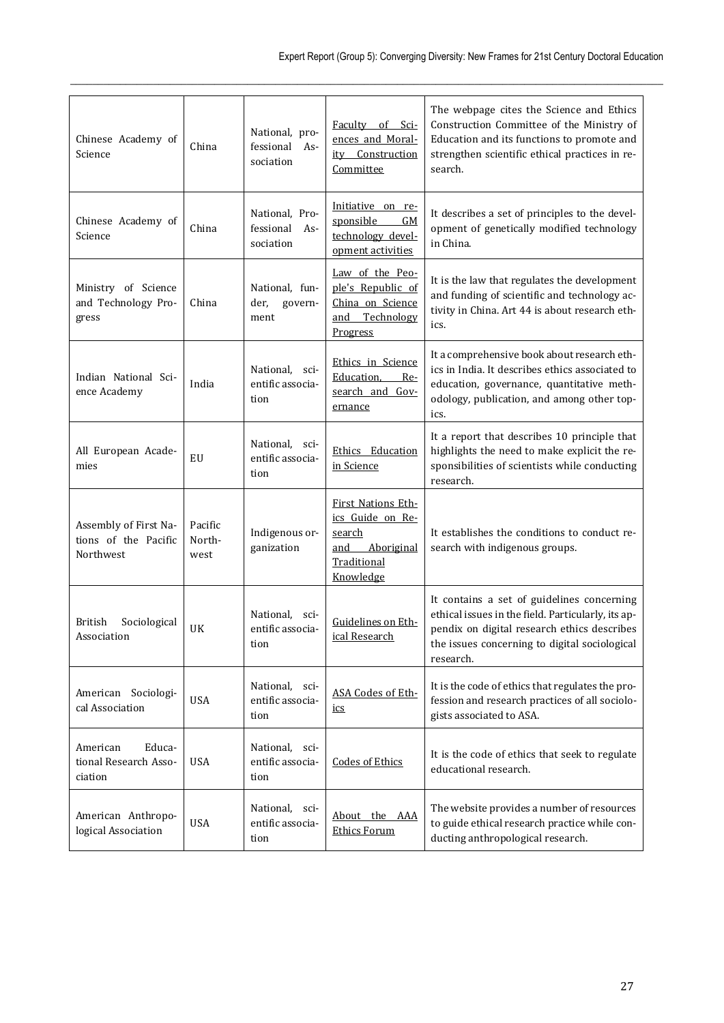| Chinese Academy of<br>Science                              | China                     | National, pro-<br>fessional<br>As-<br>sociation | Faculty of Sci-<br>ences and Moral-<br>ity Construction<br>Committee                              | The webpage cites the Science and Ethics<br>Construction Committee of the Ministry of<br>Education and its functions to promote and<br>strengthen scientific ethical practices in re-<br>search.              |
|------------------------------------------------------------|---------------------------|-------------------------------------------------|---------------------------------------------------------------------------------------------------|---------------------------------------------------------------------------------------------------------------------------------------------------------------------------------------------------------------|
| Chinese Academy of<br>Science                              | China                     | National, Pro-<br>fessional<br>As-<br>sociation | Initiative on re-<br>GM<br>sponsible<br>technology devel-<br>opment activities                    | It describes a set of principles to the devel-<br>opment of genetically modified technology<br>in China.                                                                                                      |
| Ministry of Science<br>and Technology Pro-<br>gress        | China                     | National, fun-<br>der,<br>govern-<br>ment       | Law of the Peo-<br>ple's Republic of<br>China on Science<br>Technology<br>and<br>Progress         | It is the law that regulates the development<br>and funding of scientific and technology ac-<br>tivity in China. Art 44 is about research eth-<br>ics.                                                        |
| Indian National Sci-<br>ence Academy                       | India                     | National,<br>sci-<br>entific associa-<br>tion   | Ethics in Science<br>Education.<br>Re-<br>search and Gov-<br>ernance                              | It a comprehensive book about research eth-<br>ics in India. It describes ethics associated to<br>education, governance, quantitative meth-<br>odology, publication, and among other top-<br>ics.             |
| All European Acade-<br>mies                                | EU                        | National,<br>sci-<br>entific associa-<br>tion   | Ethics Education<br>in Science                                                                    | It a report that describes 10 principle that<br>highlights the need to make explicit the re-<br>sponsibilities of scientists while conducting<br>research.                                                    |
| Assembly of First Na-<br>tions of the Pacific<br>Northwest | Pacific<br>North-<br>west | Indigenous or-<br>ganization                    | First Nations Eth-<br>ics Guide on Re-<br>search<br>Aboriginal<br>and<br>Traditional<br>Knowledge | It establishes the conditions to conduct re-<br>search with indigenous groups.                                                                                                                                |
| Sociological<br>British<br>Association                     | UK                        | National,<br>sci-<br>entific associa-<br>tion   | Guidelines on Eth-<br>ical Research                                                               | It contains a set of guidelines concerning<br>ethical issues in the field. Particularly, its ap-<br>pendix on digital research ethics describes<br>the issues concerning to digital sociological<br>research. |
| American Sociologi-<br>cal Association                     | <b>USA</b>                | National, sci-<br>entific associa-<br>tion      | ASA Codes of Eth-<br>ics                                                                          | It is the code of ethics that regulates the pro-<br>fession and research practices of all sociolo-<br>gists associated to ASA.                                                                                |
| Educa-<br>American<br>tional Research Asso-<br>ciation     | <b>USA</b>                | National, sci-<br>entific associa-<br>tion      | <b>Codes of Ethics</b>                                                                            | It is the code of ethics that seek to regulate<br>educational research.                                                                                                                                       |
| American Anthropo-<br>logical Association                  | <b>USA</b>                | National, sci-<br>entific associa-<br>tion      | About the AAA<br><b>Ethics Forum</b>                                                              | The website provides a number of resources<br>to guide ethical research practice while con-<br>ducting anthropological research.                                                                              |

 $\_$  , and the state of the state of the state of the state of the state of the state of the state of the state of the state of the state of the state of the state of the state of the state of the state of the state of the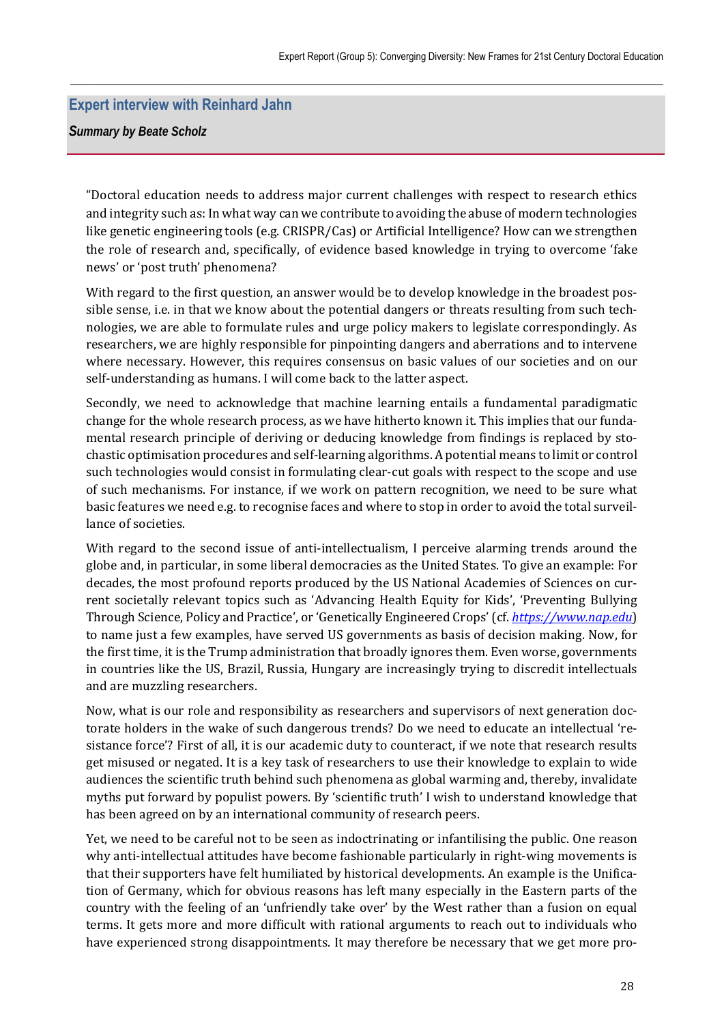### **Expert interview with Reinhard Jahn**

*Summary by Beate Scholz* 

"Doctoral education needs to address major current challenges with respect to research ethics and integrity such as: In what way can we contribute to avoiding the abuse of modern technologies like genetic engineering tools (e.g. CRISPR/Cas) or Artificial Intelligence? How can we strengthen the role of research and, specifically, of evidence based knowledge in trying to overcome 'fake news' or 'post truth' phenomena?

 $\_$  , and the state of the state of the state of the state of the state of the state of the state of the state of the state of the state of the state of the state of the state of the state of the state of the state of the

With regard to the first question, an answer would be to develop knowledge in the broadest possible sense, i.e. in that we know about the potential dangers or threats resulting from such technologies, we are able to formulate rules and urge policy makers to legislate correspondingly. As researchers, we are highly responsible for pinpointing dangers and aberrations and to intervene where necessary. However, this requires consensus on basic values of our societies and on our self-understanding as humans. I will come back to the latter aspect.

Secondly, we need to acknowledge that machine learning entails a fundamental paradigmatic change for the whole research process, as we have hitherto known it. This implies that our fundamental research principle of deriving or deducing knowledge from findings is replaced by stochastic optimisation procedures and self-learning algorithms. A potential means to limit or control such technologies would consist in formulating clear-cut goals with respect to the scope and use of such mechanisms. For instance, if we work on pattern recognition, we need to be sure what basic features we need e.g. to recognise faces and where to stop in order to avoid the total surveillance of societies.

With regard to the second issue of anti-intellectualism, I perceive alarming trends around the globe and, in particular, in some liberal democracies as the United States. To give an example: For decades, the most profound reports produced by the US National Academies of Sciences on current societally relevant topics such as 'Advancing Health Equity for Kids', 'Preventing Bullying Through Science, Policy and Practice', or 'Genetically Engineered Crops' (cf. *https://www.nap.edu*) to name just a few examples, have served US governments as basis of decision making. Now, for the first time, it is the Trump administration that broadly ignores them. Even worse, governments in countries like the US, Brazil, Russia, Hungary are increasingly trying to discredit intellectuals and are muzzling researchers.

Now, what is our role and responsibility as researchers and supervisors of next generation doctorate holders in the wake of such dangerous trends? Do we need to educate an intellectual 'resistance force'? First of all, it is our academic duty to counteract, if we note that research results get misused or negated. It is a key task of researchers to use their knowledge to explain to wide audiences the scientific truth behind such phenomena as global warming and, thereby, invalidate myths put forward by populist powers. By 'scientific truth' I wish to understand knowledge that has been agreed on by an international community of research peers.

Yet, we need to be careful not to be seen as indoctrinating or infantilising the public. One reason why anti-intellectual attitudes have become fashionable particularly in right-wing movements is that their supporters have felt humiliated by historical developments. An example is the Unification of Germany, which for obvious reasons has left many especially in the Eastern parts of the country with the feeling of an 'unfriendly take over' by the West rather than a fusion on equal terms. It gets more and more difficult with rational arguments to reach out to individuals who have experienced strong disappointments. It may therefore be necessary that we get more pro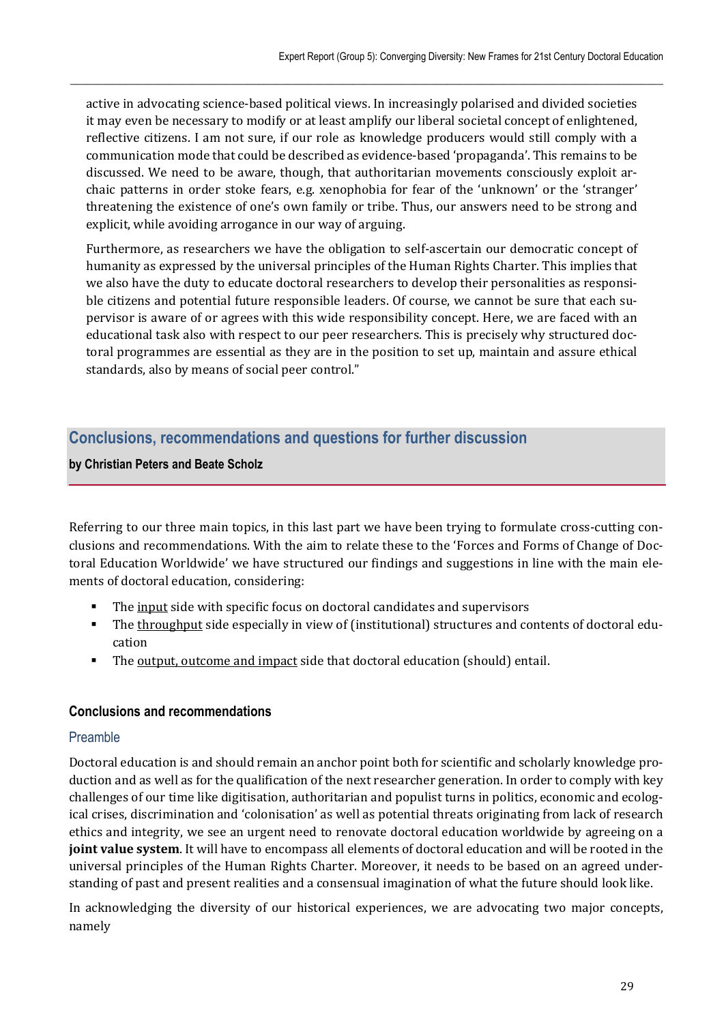active in advocating science-based political views. In increasingly polarised and divided societies it may even be necessary to modify or at least amplify our liberal societal concept of enlightened, reflective citizens. I am not sure, if our role as knowledge producers would still comply with a communication mode that could be described as evidence-based 'propaganda'. This remains to be discussed. We need to be aware, though, that authoritarian movements consciously exploit archaic patterns in order stoke fears, e.g. xenophobia for fear of the 'unknown' or the 'stranger' threatening the existence of one's own family or tribe. Thus, our answers need to be strong and explicit, while avoiding arrogance in our way of arguing.

 $\_$  , and the state of the state of the state of the state of the state of the state of the state of the state of the state of the state of the state of the state of the state of the state of the state of the state of the

Furthermore, as researchers we have the obligation to self-ascertain our democratic concept of humanity as expressed by the universal principles of the Human Rights Charter. This implies that we also have the duty to educate doctoral researchers to develop their personalities as responsible citizens and potential future responsible leaders. Of course, we cannot be sure that each supervisor is aware of or agrees with this wide responsibility concept. Here, we are faced with an educational task also with respect to our peer researchers. This is precisely why structured doctoral programmes are essential as they are in the position to set up, maintain and assure ethical standards, also by means of social peer control."

# **Conclusions, recommendations and questions for further discussion**

### **by Christian Peters and Beate Scholz**

Referring to our three main topics, in this last part we have been trying to formulate cross-cutting conclusions and recommendations. With the aim to relate these to the 'Forces and Forms of Change of Doctoral Education Worldwide' we have structured our findings and suggestions in line with the main elements of doctoral education, considering:

- The input side with specific focus on doctoral candidates and supervisors
- The throughput side especially in view of (institutional) structures and contents of doctoral education
- The output, outcome and impact side that doctoral education (should) entail.

# **Conclusions and recommendations**

# Preamble

Doctoral education is and should remain an anchor point both for scientific and scholarly knowledge production and as well as for the qualification of the next researcher generation. In order to comply with key challenges of our time like digitisation, authoritarian and populist turns in politics, economic and ecological crises, discrimination and 'colonisation' as well as potential threats originating from lack of research ethics and integrity, we see an urgent need to renovate doctoral education worldwide by agreeing on a **joint value system**. It will have to encompass all elements of doctoral education and will be rooted in the universal principles of the Human Rights Charter. Moreover, it needs to be based on an agreed understanding of past and present realities and a consensual imagination of what the future should look like.

In acknowledging the diversity of our historical experiences, we are advocating two major concepts, namely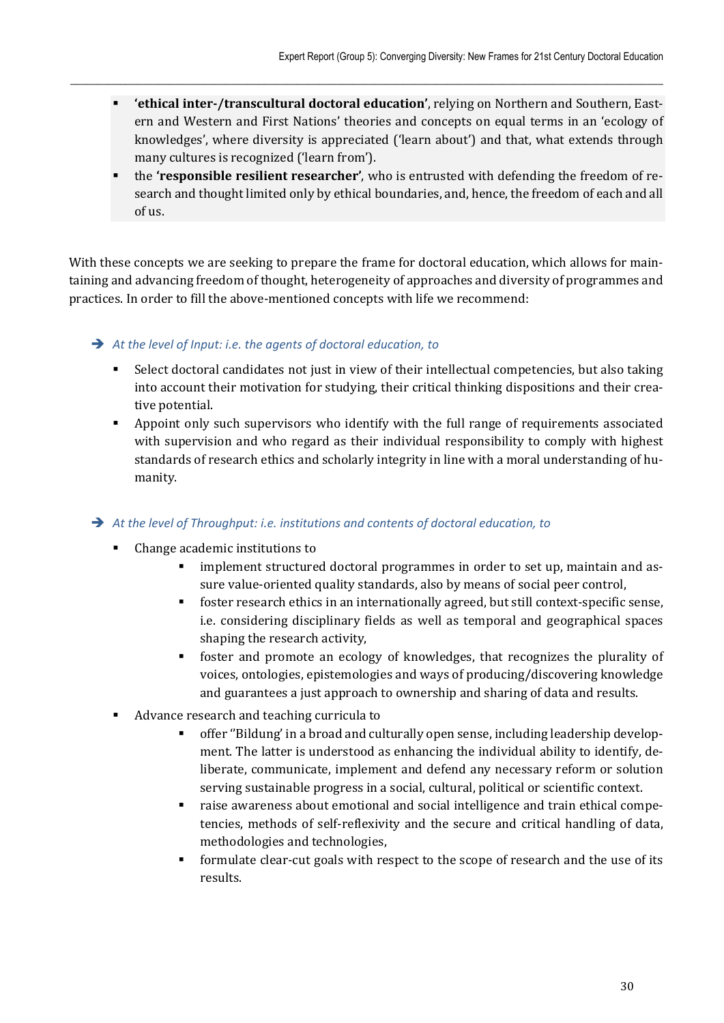**'ethical inter‐/transcultural doctoral education'**, relying on Northern and Southern, Eastern and Western and First Nations' theories and concepts on equal terms in an 'ecology of knowledges', where diversity is appreciated ('learn about') and that, what extends through many cultures is recognized ('learn from').

 $\_$  , and the state of the state of the state of the state of the state of the state of the state of the state of the state of the state of the state of the state of the state of the state of the state of the state of the

 the **'responsible resilient researcher'**, who is entrusted with defending the freedom of research and thought limited only by ethical boundaries, and, hence, the freedom of each and all of us.

With these concepts we are seeking to prepare the frame for doctoral education, which allows for maintaining and advancing freedom of thought, heterogeneity of approaches and diversity of programmes and practices. In order to fill the above-mentioned concepts with life we recommend:

*At the level of Input: i.e. the agents of doctoral education, to* 

- Select doctoral candidates not just in view of their intellectual competencies, but also taking into account their motivation for studying, their critical thinking dispositions and their creative potential.
- Appoint only such supervisors who identify with the full range of requirements associated with supervision and who regard as their individual responsibility to comply with highest standards of research ethics and scholarly integrity in line with a moral understanding of humanity.

*At the level of Throughput: i.e. institutions and contents of doctoral education, to* 

- Change academic institutions to
	- **EXECUTE:** implement structured doctoral programmes in order to set up, maintain and assure value-oriented quality standards, also by means of social peer control,
	- foster research ethics in an internationally agreed, but still context-specific sense, i.e. considering disciplinary fields as well as temporal and geographical spaces shaping the research activity,
	- foster and promote an ecology of knowledges, that recognizes the plurality of voices, ontologies, epistemologies and ways of producing/discovering knowledge and guarantees a just approach to ownership and sharing of data and results.
- Advance research and teaching curricula to
	- offer ''Bildung' in a broad and culturally open sense, including leadership development. The latter is understood as enhancing the individual ability to identify, deliberate, communicate, implement and defend any necessary reform or solution serving sustainable progress in a social, cultural, political or scientific context.
	- raise awareness about emotional and social intelligence and train ethical competencies, methods of self-reflexivity and the secure and critical handling of data, methodologies and technologies,
	- formulate clear-cut goals with respect to the scope of research and the use of its results.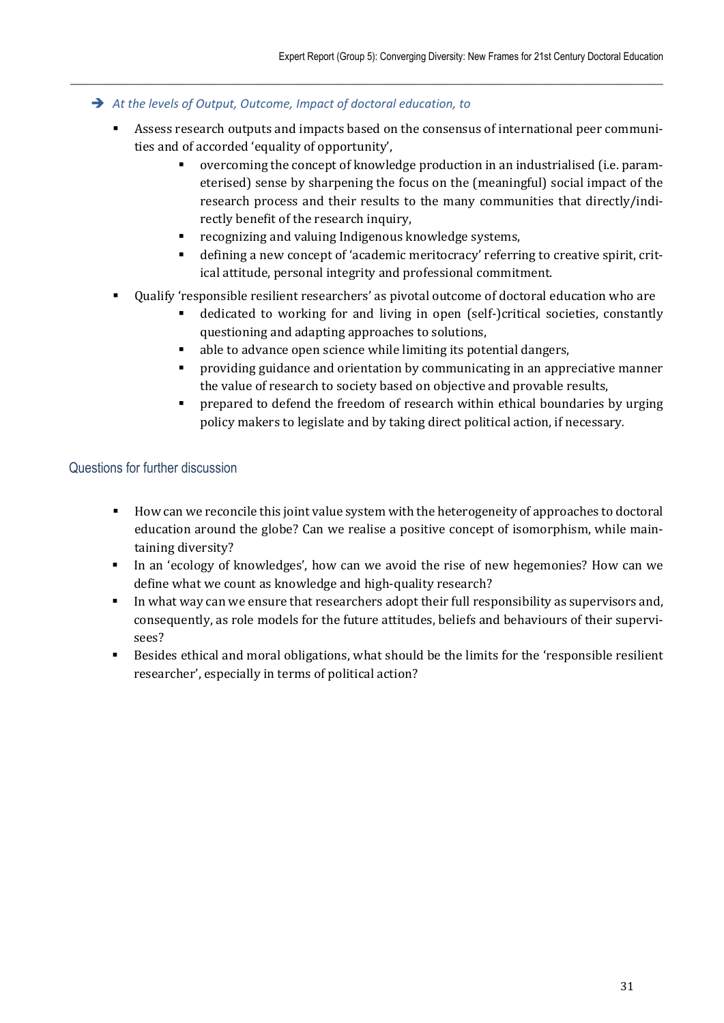- *At the levels of Output, Outcome, Impact of doctoral education, to* 
	- Assess research outputs and impacts based on the consensus of international peer communities and of accorded 'equality of opportunity',

 $\_$  , and the state of the state of the state of the state of the state of the state of the state of the state of the state of the state of the state of the state of the state of the state of the state of the state of the

- overcoming the concept of knowledge production in an industrialised (i.e. parameterised) sense by sharpening the focus on the (meaningful) social impact of the research process and their results to the many communities that directly/indirectly benefit of the research inquiry,
- recognizing and valuing Indigenous knowledge systems,
- defining a new concept of 'academic meritocracy' referring to creative spirit, critical attitude, personal integrity and professional commitment.
- Qualify 'responsible resilient researchers' as pivotal outcome of doctoral education who are
	- dedicated to working for and living in open (self-)critical societies, constantly questioning and adapting approaches to solutions,
	- able to advance open science while limiting its potential dangers,
	- providing guidance and orientation by communicating in an appreciative manner the value of research to society based on objective and provable results,
	- **•** prepared to defend the freedom of research within ethical boundaries by urging policy makers to legislate and by taking direct political action, if necessary*.*

# Questions for further discussion

- How can we reconcile this joint value system with the heterogeneity of approaches to doctoral education around the globe? Can we realise a positive concept of isomorphism, while maintaining diversity?
- In an 'ecology of knowledges', how can we avoid the rise of new hegemonies? How can we define what we count as knowledge and high-quality research?
- In what way can we ensure that researchers adopt their full responsibility as supervisors and, consequently, as role models for the future attitudes, beliefs and behaviours of their supervisees?
- Besides ethical and moral obligations, what should be the limits for the 'responsible resilient researcher', especially in terms of political action?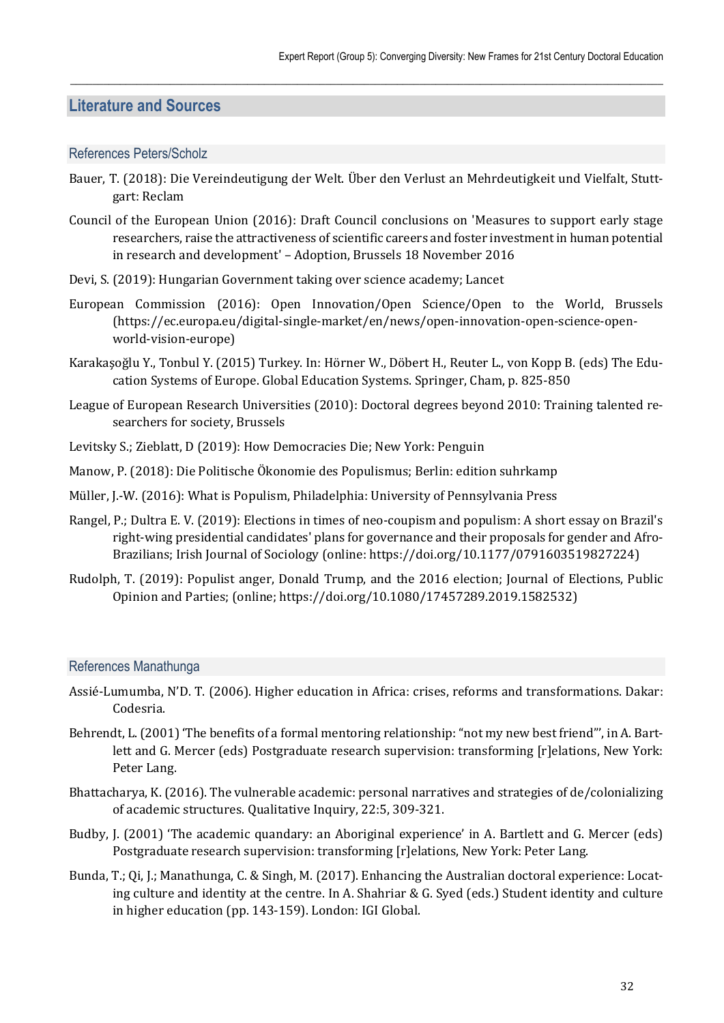# **Literature and Sources**

#### References Peters/Scholz

Bauer, T. (2018): Die Vereindeutigung der Welt. Über den Verlust an Mehrdeutigkeit und Vielfalt, Stuttgart: Reclam

 $\_$  , and the state of the state of the state of the state of the state of the state of the state of the state of the state of the state of the state of the state of the state of the state of the state of the state of the

- Council of the European Union (2016): Draft Council conclusions on 'Measures to support early stage researchers, raise the attractiveness of scientific careers and foster investment in human potential in research and development' – Adoption, Brussels 18 November 2016
- Devi, S. (2019): Hungarian Government taking over science academy; Lancet
- European Commission (2016): Open Innovation/Open Science/Open to the World, Brussels (https://ec.europa.eu/digital-single-market/en/news/open-innovation-open-science-openworld-vision-europe)
- Karakaşoğlu Y., Tonbul Y. (2015) Turkey. In: Hörner W., Döbert H., Reuter L., von Kopp B. (eds) The Education Systems of Europe. Global Education Systems. Springer, Cham, p. 825-850
- League of European Research Universities (2010): Doctoral degrees beyond 2010: Training talented researchers for society, Brussels
- Levitsky S.; Zieblatt, D (2019): How Democracies Die; New York: Penguin
- Manow, P. (2018): Die Politische Ökonomie des Populismus; Berlin: edition suhrkamp
- Müller, J.-W. (2016): What is Populism, Philadelphia: University of Pennsylvania Press
- Rangel, P.; Dultra E. V. (2019): Elections in times of neo-coupism and populism: A short essay on Brazil's right-wing presidential candidates' plans for governance and their proposals for gender and Afro-Brazilians; Irish Journal of Sociology (online: https://doi.org/10.1177/0791603519827224)
- Rudolph, T. (2019): Populist anger, Donald Trump, and the 2016 election; Journal of Elections, Public Opinion and Parties; (online; https://doi.org/10.1080/17457289.2019.1582532)

#### References Manathunga

- Assié-Lumumba, N'D. T. (2006). Higher education in Africa: crises, reforms and transformations. Dakar: Codesria.
- Behrendt, L. (2001) 'The benefits of a formal mentoring relationship: "not my new best friend"', in A. Bartlett and G. Mercer (eds) Postgraduate research supervision: transforming [r]elations, New York: Peter Lang.
- Bhattacharya, K. (2016). The vulnerable academic: personal narratives and strategies of de/colonializing of academic structures. Qualitative Inquiry, 22:5, 309-321.
- Budby, J. (2001) 'The academic quandary: an Aboriginal experience' in A. Bartlett and G. Mercer (eds) Postgraduate research supervision: transforming [r]elations, New York: Peter Lang.
- Bunda, T.; Qi, J.; Manathunga, C. & Singh, M. (2017). Enhancing the Australian doctoral experience: Locating culture and identity at the centre. In A. Shahriar & G. Syed (eds.) Student identity and culture in higher education (pp. 143-159). London: IGI Global.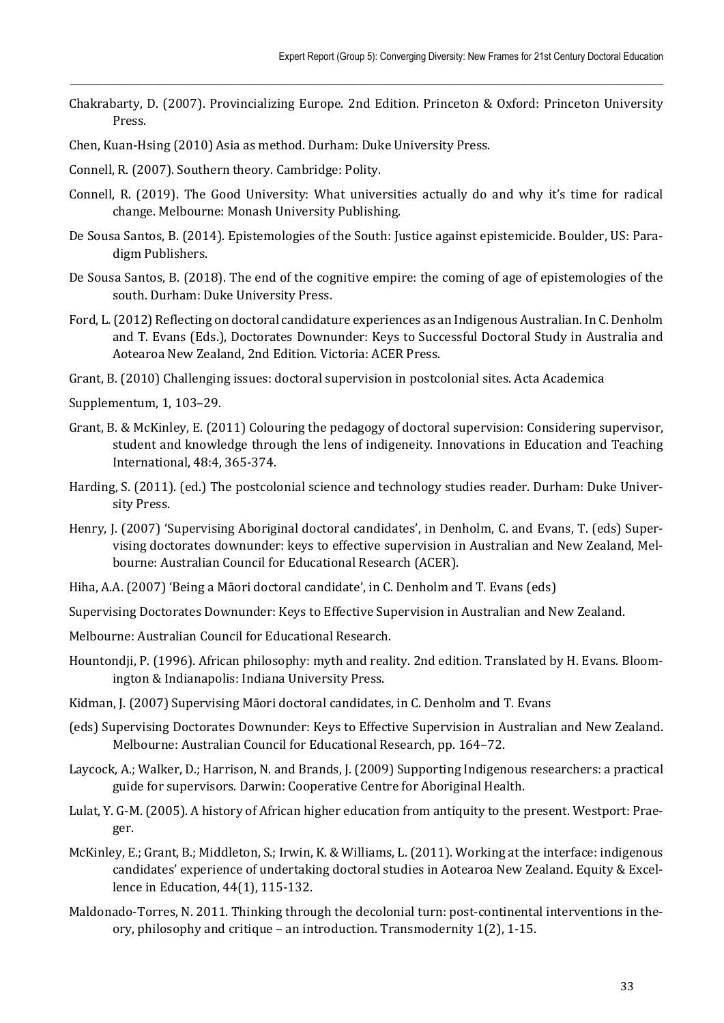Chakrabarty, D. (2007). Provincializing Europe. 2nd Edition. Princeton & Oxford: Princeton University Press.

 $\_$  , and the state of the state of the state of the state of the state of the state of the state of the state of the state of the state of the state of the state of the state of the state of the state of the state of the

- Chen, Kuan-Hsing (2010) Asia as method. Durham: Duke University Press.
- Connell, R. (2007). Southern theory. Cambridge: Polity.
- Connell, R. (2019). The Good University: What universities actually do and why it's time for radical change. Melbourne: Monash University Publishing.
- De Sousa Santos, B. (2014). Epistemologies of the South: Justice against epistemicide. Boulder, US: Paradigm Publishers.
- De Sousa Santos, B. (2018). The end of the cognitive empire: the coming of age of epistemologies of the south. Durham: Duke University Press.
- Ford, L. (2012) Reflecting on doctoral candidature experiences as an Indigenous Australian. In C. Denholm and T. Evans (Eds.), Doctorates Downunder: Keys to Successful Doctoral Study in Australia and Aotearoa New Zealand, 2nd Edition. Victoria: ACER Press.
- Grant, B. (2010) Challenging issues: doctoral supervision in postcolonial sites. Acta Academica
- Supplementum, 1, 103–29.
- Grant, B. & McKinley, E. (2011) Colouring the pedagogy of doctoral supervision: Considering supervisor, student and knowledge through the lens of indigeneity. Innovations in Education and Teaching International, 48:4, 365-374.
- Harding, S. (2011). (ed.) The postcolonial science and technology studies reader. Durham: Duke University Press.
- Henry, J. (2007) 'Supervising Aboriginal doctoral candidates', in Denholm, C. and Evans, T. (eds) Supervising doctorates downunder: keys to effective supervision in Australian and New Zealand, Melbourne: Australian Council for Educational Research (ACER).
- Hiha, A.A. (2007) 'Being a Māori doctoral candidate', in C. Denholm and T. Evans (eds)
- Supervising Doctorates Downunder: Keys to Effective Supervision in Australian and New Zealand.
- Melbourne: Australian Council for Educational Research.
- Hountondji, P. (1996). African philosophy: myth and reality. 2nd edition. Translated by H. Evans. Bloomington & Indianapolis: Indiana University Press.
- Kidman, J. (2007) Supervising Māori doctoral candidates, in C. Denholm and T. Evans
- (eds) Supervising Doctorates Downunder: Keys to Effective Supervision in Australian and New Zealand. Melbourne: Australian Council for Educational Research, pp. 164–72.
- Laycock, A.; Walker, D.; Harrison, N. and Brands, J. (2009) Supporting Indigenous researchers: a practical guide for supervisors. Darwin: Cooperative Centre for Aboriginal Health.
- Lulat, Y. G-M. (2005). A history of African higher education from antiquity to the present. Westport: Praeger.
- McKinley, E.; Grant, B.; Middleton, S.; Irwin, K. & Williams, L. (2011). Working at the interface: indigenous candidates' experience of undertaking doctoral studies in Aotearoa New Zealand. Equity & Excellence in Education, 44(1), 115-132.
- Maldonado-Torres, N. 2011. Thinking through the decolonial turn: post-continental interventions in theory, philosophy and critique – an introduction. Transmodernity 1(2), 1-15.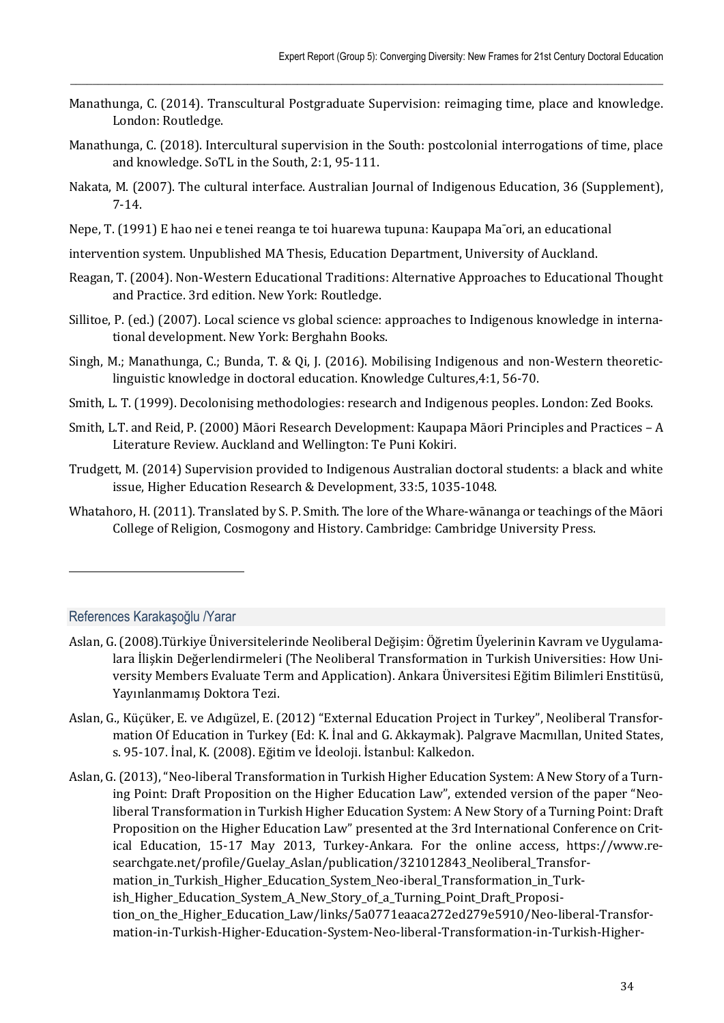Manathunga, C. (2014). Transcultural Postgraduate Supervision: reimaging time, place and knowledge. London: Routledge.

 $\_$  , and the state of the state of the state of the state of the state of the state of the state of the state of the state of the state of the state of the state of the state of the state of the state of the state of the

- Manathunga, C. (2018). Intercultural supervision in the South: postcolonial interrogations of time, place and knowledge. SoTL in the South, 2:1, 95-111.
- Nakata, M. (2007). The cultural interface. Australian Journal of Indigenous Education, 36 (Supplement), 7-14.
- Nepe, T. (1991) E hao nei e tenei reanga te toi huarewa tupuna: Kaupapa Ma¯ori, an educational
- intervention system. Unpublished MA Thesis, Education Department, University of Auckland.
- Reagan, T. (2004). Non-Western Educational Traditions: Alternative Approaches to Educational Thought and Practice. 3rd edition. New York: Routledge.
- Sillitoe, P. (ed.) (2007). Local science vs global science: approaches to Indigenous knowledge in international development. New York: Berghahn Books.
- Singh, M.; Manathunga, C.; Bunda, T. & Qi, J. (2016). Mobilising Indigenous and non-Western theoreticlinguistic knowledge in doctoral education. Knowledge Cultures,4:1, 56-70.
- Smith, L. T. (1999). Decolonising methodologies: research and Indigenous peoples. London: Zed Books.
- Smith, L.T. and Reid, P. (2000) Māori Research Development: Kaupapa Māori Principles and Practices A Literature Review. Auckland and Wellington: Te Puni Kokiri.
- Trudgett, M. (2014) Supervision provided to Indigenous Australian doctoral students: a black and white issue, Higher Education Research & Development, 33:5, 1035-1048.
- Whatahoro, H. (2011). Translated by S. P. Smith. The lore of the Whare-wānanga or teachings of the Māori College of Religion, Cosmogony and History. Cambridge: Cambridge University Press.

#### References Karakaşoğlu /Yarar

l

- Aslan, G. (2008).Türkiye Üniversitelerinde Neoliberal Değişim: Öğretim Üyelerinin Kavram ve Uygulamalara İlişkin Değerlendirmeleri (The Neoliberal Transformation in Turkish Universities: How University Members Evaluate Term and Application). Ankara Üniversitesi Eğitim Bilimleri Enstitüsü, Yayınlanmamış Doktora Tezi.
- Aslan, G., Küçüker, E. ve Adıgüzel, E. (2012) "External Education Project in Turkey", Neoliberal Transformation Of Education in Turkey (Ed: K. İnal and G. Akkaymak). Palgrave Macmıllan, United States, s. 95-107. İnal, K. (2008). Eğitim ve İdeoloji. İstanbul: Kalkedon.
- Aslan, G. (2013), "Neo-liberal Transformation in Turkish Higher Education System: A New Story of a Turning Point: Draft Proposition on the Higher Education Law", extended version of the paper "Neoliberal Transformation in Turkish Higher Education System: A New Story of a Turning Point: Draft Proposition on the Higher Education Law" presented at the 3rd International Conference on Critical Education, 15-17 May 2013, Turkey-Ankara. For the online access, https://www.researchgate.net/profile/Guelay Aslan/publication/321012843\_Neoliberal\_Transformation\_in\_Turkish\_Higher\_Education\_System\_Neo-iberal\_Transformation\_in\_Turkish\_Higher\_Education\_System\_A\_New\_Story\_of\_a\_Turning\_Point\_Draft\_Proposition\_on\_the\_Higher\_Education\_Law/links/5a0771eaaca272ed279e5910/Neo-liberal-Transformation-in-Turkish-Higher-Education-System-Neo-liberal-Transformation-in-Turkish-Higher-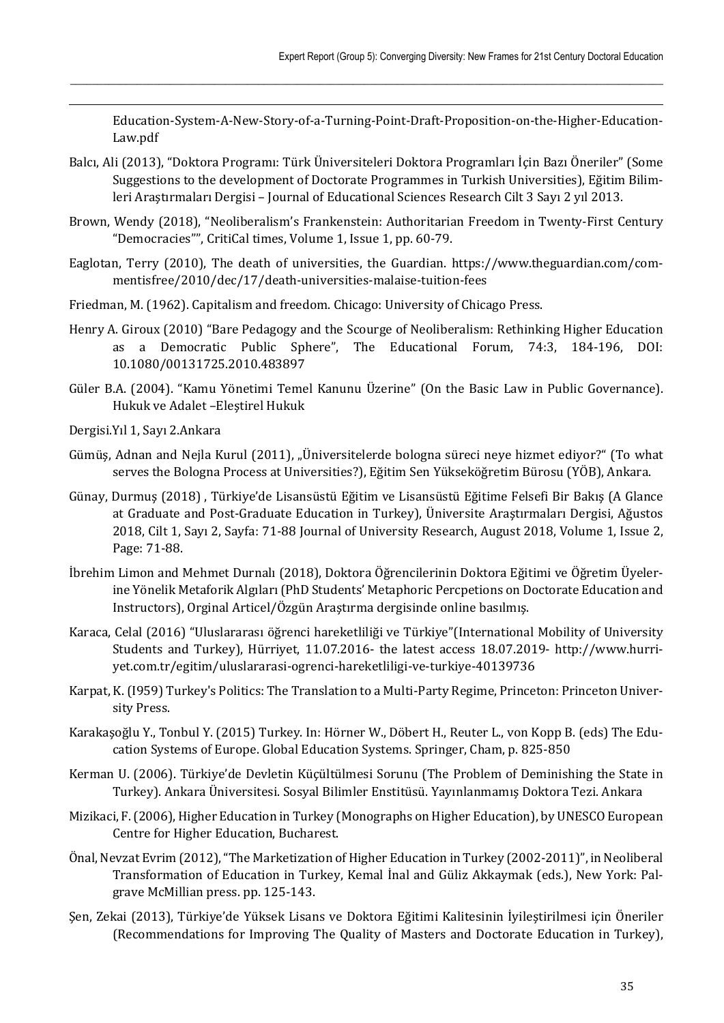Education-System-A-New-Story-of-a-Turning-Point-Draft-Proposition-on-the-Higher-Education-Law.pdf

Balcı, Ali (2013), "Doktora Programı: Türk Üniversiteleri Doktora Programları İçin Bazı Öneriler" (Some Suggestions to the development of Doctorate Programmes in Turkish Universities), Eğitim Bilimleri Araştırmaları Dergisi – Journal of Educational Sciences Research Cilt 3 Sayı 2 yıl 2013.

 $\_$  , and the state of the state of the state of the state of the state of the state of the state of the state of the state of the state of the state of the state of the state of the state of the state of the state of the

- Brown, Wendy (2018), "Neoliberalism's Frankenstein: Authoritarian Freedom in Twenty-First Century "Democracies"", CritiCal times, Volume 1, Issue 1, pp. 60-79.
- Eaglotan, Terry (2010), The death of universities, the Guardian. https://www.theguardian.com/commentisfree/2010/dec/17/death-universities-malaise-tuition-fees
- Friedman, M. (1962). Capitalism and freedom. Chicago: University of Chicago Press.
- Henry A. Giroux (2010) "Bare Pedagogy and the Scourge of Neoliberalism: Rethinking Higher Education as a Democratic Public Sphere", The Educational Forum, 74:3, 184-196, DOI: 10.1080/00131725.2010.483897
- Güler B.A. (2004). "Kamu Yönetimi Temel Kanunu Üzerine" (On the Basic Law in Public Governance). Hukuk ve Adalet –Eleştirel Hukuk
- Dergisi.Yıl 1, Sayı 2.Ankara

- Gümüş, Adnan and Nejla Kurul (2011), "Üniversitelerde bologna süreci neye hizmet ediyor?" (To what serves the Bologna Process at Universities?), Eğitim Sen Yükseköğretim Bürosu (YÖB), Ankara.
- Günay, Durmuş (2018) , Türkiye'de Lisansüstü Eğitim ve Lisansüstü Eğitime Felsefi Bir Bakış (A Glance at Graduate and Post-Graduate Education in Turkey), Üniversite Araştırmaları Dergisi, Ağustos 2018, Cilt 1, Sayı 2, Sayfa: 71-88 Journal of University Research, August 2018, Volume 1, Issue 2, Page: 71-88.
- İbrehim Limon and Mehmet Durnalı (2018), Doktora Öğrencilerinin Doktora Eğitimi ve Öğretim Üyelerine Yönelik Metaforik Algıları (PhD Students' Metaphoric Percpetions on Doctorate Education and Instructors), Orginal Articel/Özgün Araştırma dergisinde online basılmış.
- Karaca, Celal (2016) "Uluslararası öğrenci hareketliliği ve Türkiye"(International Mobility of University Students and Turkey), Hürriyet, 11.07.2016- the latest access 18.07.2019- http://www.hurriyet.com.tr/egitim/uluslararasi-ogrenci-hareketliligi-ve-turkiye-40139736
- Karpat, K. (I959) Turkey's Politics: The Translation to a Multi-Party Regime, Princeton: Princeton University Press.
- Karakaşoğlu Y., Tonbul Y. (2015) Turkey. In: Hörner W., Döbert H., Reuter L., von Kopp B. (eds) The Education Systems of Europe. Global Education Systems. Springer, Cham, p. 825-850
- Kerman U. (2006). Türkiye'de Devletin Küçültülmesi Sorunu (The Problem of Deminishing the State in Turkey). Ankara Üniversitesi. Sosyal Bilimler Enstitüsü. Yayınlanmamış Doktora Tezi. Ankara
- Mizikaci, F. (2006), Higher Education in Turkey (Monographs on Higher Education), by UNESCO European Centre for Higher Education, Bucharest.
- Önal, Nevzat Evrim (2012), "The Marketization of Higher Education in Turkey (2002-2011)", in Neoliberal Transformation of Education in Turkey, Kemal İnal and Güliz Akkaymak (eds.), New York: Palgrave McMillian press. pp. 125-143.
- Şen, Zekai (2013), Türkiye'de Yüksek Lisans ve Doktora Eğitimi Kalitesinin İyileştirilmesi için Öneriler (Recommendations for Improving The Quality of Masters and Doctorate Education in Turkey),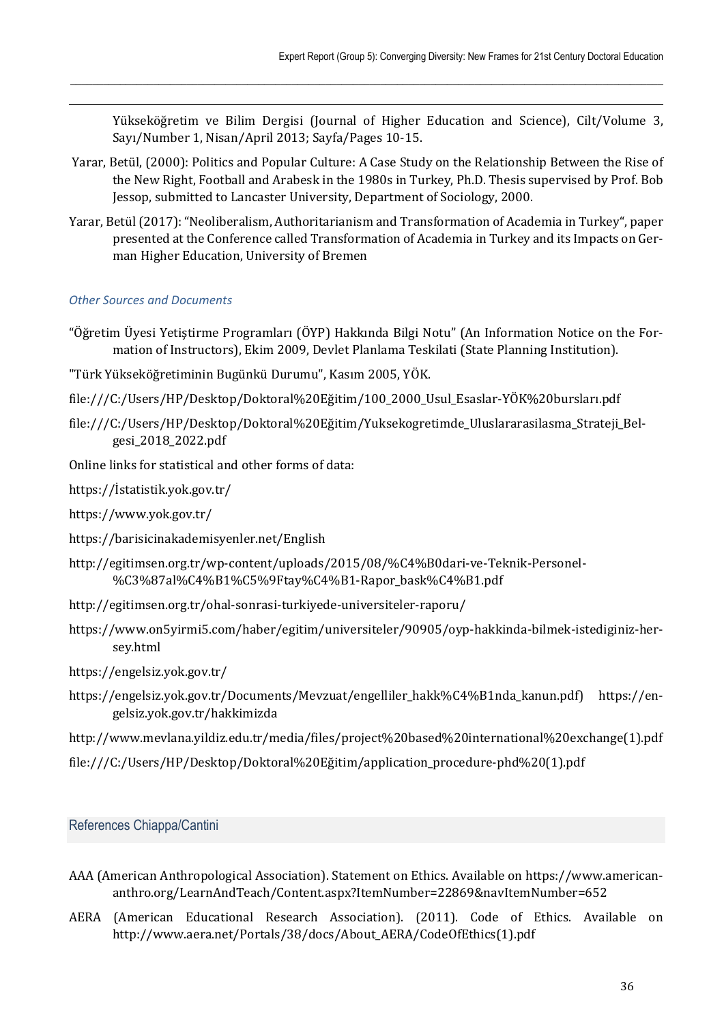Yükseköğretim ve Bilim Dergisi (Journal of Higher Education and Science), Cilt/Volume 3, Sayı/Number 1, Nisan/April 2013; Sayfa/Pages 10-15.

 Yarar, Betül, (2000): Politics and Popular Culture: A Case Study on the Relationship Between the Rise of the New Right, Football and Arabesk in the 1980s in Turkey, Ph.D. Thesis supervised by Prof. Bob Jessop, submitted to Lancaster University, Department of Sociology, 2000.

 $\_$  , and the state of the state of the state of the state of the state of the state of the state of the state of the state of the state of the state of the state of the state of the state of the state of the state of the

Yarar, Betül (2017): "Neoliberalism, Authoritarianism and Transformation of Academia in Turkey", paper presented at the Conference called Transformation of Academia in Turkey and its Impacts on German Higher Education, University of Bremen

### *Other Sources and Documents*

 $\overline{\phantom{0}}$ 

- "Öğretim Üyesi Yetiştirme Programları (ÖYP) Hakkında Bilgi Notu" (An Information Notice on the Formation of Instructors), Ekim 2009, Devlet Planlama Teskilati (State Planning Institution).
- "Türk Yükseköğretiminin Bugünkü Durumu", Kasım 2005, YÖK.
- file:///C:/Users/HP/Desktop/Doktoral%20Eğitim/100\_2000\_Usul\_Esaslar-YÖK%20bursları.pdf
- file:///C:/Users/HP/Desktop/Doktoral%20Eğitim/Yuksekogretimde\_Uluslararasilasma\_Strateji\_Belgesi\_2018\_2022.pdf
- Online links for statistical and other forms of data:
- https://İstatistik.yok.gov.tr/
- https://www.yok.gov.tr/
- https://barisicinakademisyenler.net/English
- http://egitimsen.org.tr/wp-content/uploads/2015/08/%C4%B0dari-ve-Teknik-Personel- %C3%87al%C4%B1%C5%9Ftay%C4%B1-Rapor\_bask%C4%B1.pdf
- http://egitimsen.org.tr/ohal-sonrasi-turkiyede-universiteler-raporu/
- https://www.on5yirmi5.com/haber/egitim/universiteler/90905/oyp-hakkinda-bilmek-istediginiz-hersey.html
- https://engelsiz.yok.gov.tr/
- https://engelsiz.yok.gov.tr/Documents/Mevzuat/engelliler\_hakk%C4%B1nda\_kanun.pdf) https://engelsiz.yok.gov.tr/hakkimizda
- http://www.mevlana.yildiz.edu.tr/media/files/project%20based%20international%20exchange(1).pdf
- file:///C:/Users/HP/Desktop/Doktoral%20Eğitim/application\_procedure-phd%20(1).pdf

# References Chiappa/Cantini

- AAA (American Anthropological Association). Statement on Ethics. Available on https://www.americananthro.org/LearnAndTeach/Content.aspx?ItemNumber=22869&navItemNumber=652
- AERA (American Educational Research Association). (2011). Code of Ethics. Available on http://www.aera.net/Portals/38/docs/About\_AERA/CodeOfEthics(1).pdf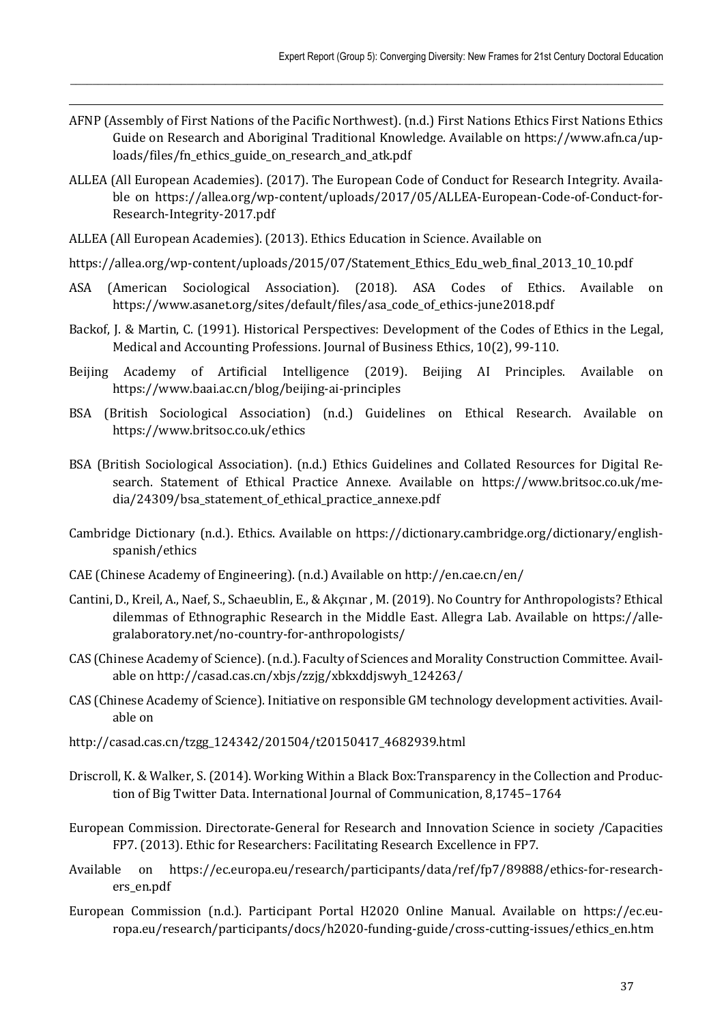AFNP (Assembly of First Nations of the Pacific Northwest). (n.d.) First Nations Ethics First Nations Ethics Guide on Research and Aboriginal Traditional Knowledge. Available on https://www.afn.ca/uploads/files/fn\_ethics\_guide\_on\_research\_and\_atk.pdf

 $\_$  , and the state of the state of the state of the state of the state of the state of the state of the state of the state of the state of the state of the state of the state of the state of the state of the state of the

- ALLEA (All European Academies). (2017). The European Code of Conduct for Research Integrity. Available on https://allea.org/wp-content/uploads/2017/05/ALLEA-European-Code-of-Conduct-for-Research-Integrity-2017.pdf
- ALLEA (All European Academies). (2013). Ethics Education in Science. Available on

- https://allea.org/wp-content/uploads/2015/07/Statement\_Ethics\_Edu\_web\_final\_2013\_10\_10.pdf
- ASA (American Sociological Association). (2018). ASA Codes of Ethics. Available on https://www.asanet.org/sites/default/files/asa\_code\_of\_ethics-june2018.pdf
- Backof, J. & Martin, C. (1991). Historical Perspectives: Development of the Codes of Ethics in the Legal, Medical and Accounting Professions. Journal of Business Ethics, 10(2), 99-110.
- Beijing Academy of Artificial Intelligence (2019). Beijing AI Principles. Available on https://www.baai.ac.cn/blog/beijing-ai-principles
- BSA (British Sociological Association) (n.d.) Guidelines on Ethical Research. Available on https://www.britsoc.co.uk/ethics
- BSA (British Sociological Association). (n.d.) Ethics Guidelines and Collated Resources for Digital Research. Statement of Ethical Practice Annexe. Available on https://www.britsoc.co.uk/media/24309/bsa\_statement\_of\_ethical\_practice\_annexe.pdf
- Cambridge Dictionary (n.d.). Ethics. Available on https://dictionary.cambridge.org/dictionary/englishspanish/ethics
- CAE (Chinese Academy of Engineering). (n.d.) Available on http://en.cae.cn/en/
- Cantini, D., Kreil, A., Naef, S., Schaeublin, E., & Akçınar , M. (2019). No Country for Anthropologists? Ethical dilemmas of Ethnographic Research in the Middle East. Allegra Lab. Available on https://allegralaboratory.net/no-country-for-anthropologists/
- CAS (Chinese Academy of Science). (n.d.). Faculty of Sciences and Morality Construction Committee. Available on http://casad.cas.cn/xbjs/zzjg/xbkxddjswyh\_124263/
- CAS (Chinese Academy of Science). Initiative on responsible GM technology development activities. Available on
- http://casad.cas.cn/tzgg\_124342/201504/t20150417\_4682939.html
- Driscroll, K. & Walker, S. (2014). Working Within a Black Box:Transparency in the Collection and Production of Big Twitter Data. International Journal of Communication, 8,1745–1764
- European Commission. Directorate-General for Research and Innovation Science in society /Capacities FP7. (2013). Ethic for Researchers: Facilitating Research Excellence in FP7.
- Available on https://ec.europa.eu/research/participants/data/ref/fp7/89888/ethics-for-researchers\_en.pdf
- European Commission (n.d.). Participant Portal H2020 Online Manual. Available on https://ec.europa.eu/research/participants/docs/h2020-funding-guide/cross-cutting-issues/ethics\_en.htm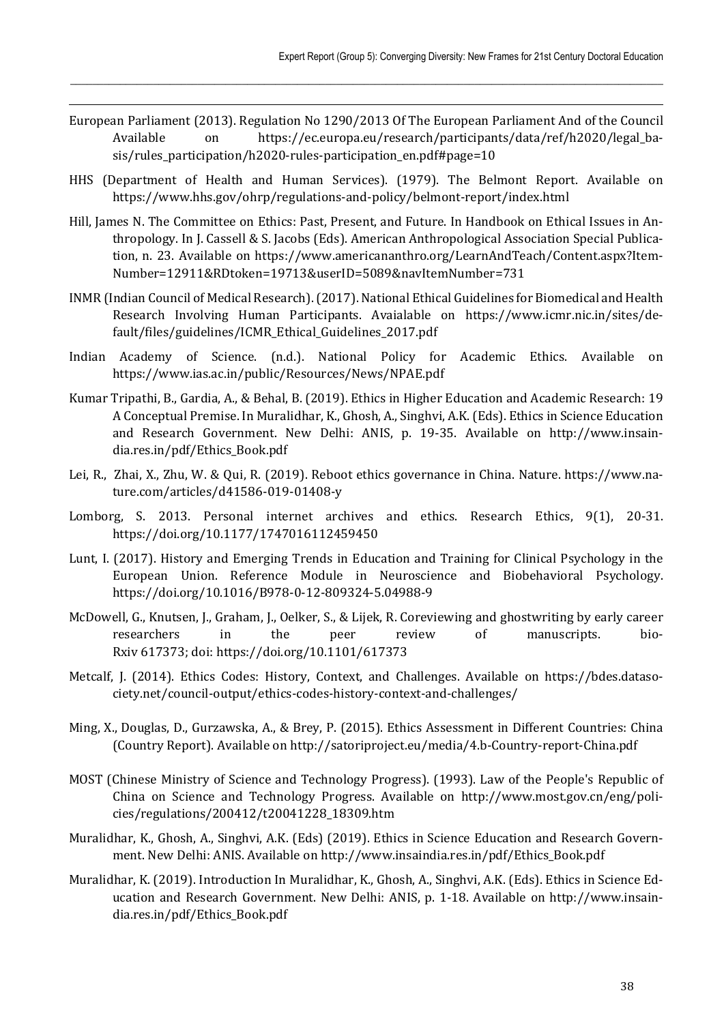European Parliament (2013). Regulation No 1290/2013 Of The European Parliament And of the Council Available on https://ec.europa.eu/research/participants/data/ref/h2020/legal\_basis/rules\_participation/h2020-rules-participation\_en.pdf#page=10

 $\_$  , and the state of the state of the state of the state of the state of the state of the state of the state of the state of the state of the state of the state of the state of the state of the state of the state of the

- HHS (Department of Health and Human Services). (1979). The Belmont Report. Available on https://www.hhs.gov/ohrp/regulations-and-policy/belmont-report/index.html
- Hill, James N. The Committee on Ethics: Past, Present, and Future. In Handbook on Ethical Issues in Anthropology. In J. Cassell & S. Jacobs (Eds). American Anthropological Association Special Publication, n. 23. Available on https://www.americananthro.org/LearnAndTeach/Content.aspx?Item-Number=12911&RDtoken=19713&userID=5089&navItemNumber=731
- INMR (Indian Council of Medical Research). (2017). National Ethical Guidelines for Biomedical and Health Research Involving Human Participants. Avaialable on https://www.icmr.nic.in/sites/default/files/guidelines/ICMR\_Ethical\_Guidelines\_2017.pdf
- Indian Academy of Science. (n.d.). National Policy for Academic Ethics. Available on https://www.ias.ac.in/public/Resources/News/NPAE.pdf
- Kumar Tripathi, B., Gardia, A., & Behal, B. (2019). Ethics in Higher Education and Academic Research: 19 A Conceptual Premise. In Muralidhar, K., Ghosh, A., Singhvi, A.K. (Eds). Ethics in Science Education and Research Government. New Delhi: ANIS, p. 19-35. Available on http://www.insaindia.res.in/pdf/Ethics\_Book.pdf
- Lei, R., Zhai, X., Zhu, W. & Qui, R. (2019). Reboot ethics governance in China. Nature. https://www.nature.com/articles/d41586-019-01408-y
- Lomborg, S. 2013. Personal internet archives and ethics. Research Ethics, 9(1), 20-31. https://doi.org/10.1177/1747016112459450
- Lunt, I. (2017). History and Emerging Trends in Education and Training for Clinical Psychology in the European Union. Reference Module in Neuroscience and Biobehavioral Psychology. https://doi.org/10.1016/B978-0-12-809324-5.04988-9
- McDowell, G., Knutsen, J., Graham, J., Oelker, S., & Lijek, R. Coreviewing and ghostwriting by early career researchers in the peer review of manuscripts. bio-Rxiv 617373; doi: https://doi.org/10.1101/617373
- Metcalf, J. (2014). Ethics Codes: History, Context, and Challenges. Available on https://bdes.datasociety.net/council-output/ethics-codes-history-context-and-challenges/
- Ming, X., Douglas, D., Gurzawska, A., & Brey, P. (2015). Ethics Assessment in Different Countries: China (Country Report). Available on http://satoriproject.eu/media/4.b-Country-report-China.pdf
- MOST (Chinese Ministry of Science and Technology Progress). (1993). Law of the People's Republic of China on Science and Technology Progress. Available on http://www.most.gov.cn/eng/policies/regulations/200412/t20041228\_18309.htm
- Muralidhar, K., Ghosh, A., Singhvi, A.K. (Eds) (2019). Ethics in Science Education and Research Government. New Delhi: ANIS. Available on http://www.insaindia.res.in/pdf/Ethics\_Book.pdf
- Muralidhar, K. (2019). Introduction In Muralidhar, K., Ghosh, A., Singhvi, A.K. (Eds). Ethics in Science Education and Research Government. New Delhi: ANIS, p. 1-18. Available on http://www.insaindia.res.in/pdf/Ethics\_Book.pdf